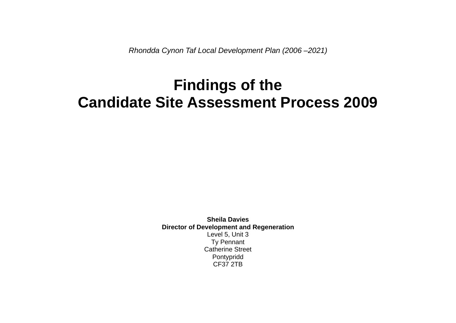*Rhondda Cynon Taf Local Development Plan (2006 –2021)*

# **Findings of the Candidate Site Assessment Process 2009**

**Sheila Davies Director of Development and Regeneration** Level 5, Unit 3 Ty Pennant Catherine Street Pontypridd CF37 2TB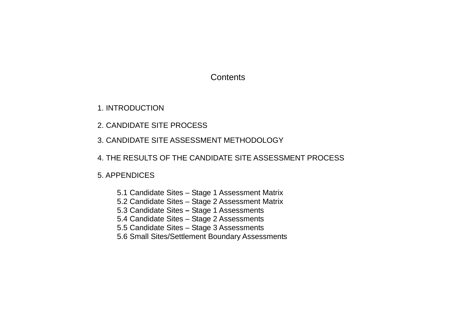## **Contents**

1. INTRODUCTION

2. CANDIDATE SITE PROCESS

3. CANDIDATE SITE ASSESSMENT METHODOLOGY

4. THE RESULTS OF THE CANDIDATE SITE ASSESSMENT PROCESS

5. APPENDICES

5.1 Candidate Sites – Stage 1 Assessment Matrix

5.2 Candidate Sites – Stage 2 Assessment Matrix

5.3 Candidate Sites **–** Stage 1 Assessments

5.4 Candidate Sites – Stage 2 Assessments

5.5 Candidate Sites – Stage 3 Assessments

5.6 Small Sites/Settlement Boundary Assessments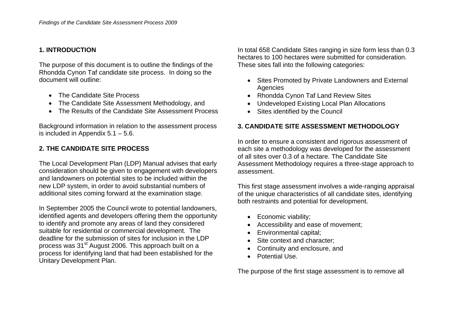#### **1. INTRODUCTION**

The purpose of this document is to outline the findings of the Rhondda Cynon Taf candidate site process. In doing so the document will outline:

- The Candidate Site Process
- The Candidate Site Assessment Methodology, and
- The Results of the Candidate Site Assessment Process

Background information in relation to the assessment process is included in Appendix  $5.1 - 5.6$ .

## **2. THE CANDIDATE SITE PROCESS**

The Local Development Plan (LDP) Manual advises that early consideration should be given to engagement with developers and landowners on potential sites to be included within the new LDP system, in order to avoid substantial numbers of additional sites coming forward at the examination stage.

In September 2005 the Council wrote to potential landowners, identified agents and developers offering them the opportunity to identify and promote any areas of land they considered suitable for residential or commercial development. The deadline for the submission of sites for inclusion in the LDP process was 31<sup>st</sup> August 2006. This approach built on a process for identifying land that had been established for the Unitary Development Plan.

In total 658 Candidate Sites ranging in size form less than 0.3 hectares to 100 hectares were submitted for consideration. These sites fall into the following categories:

- Sites Promoted by Private Landowners and External Agencies
- Rhondda Cynon Taf Land Review Sites
- Undeveloped Existing Local Plan Allocations
- Sites identified by the Council

## **3. CANDIDATE SITE ASSESSMENT METHODOLOGY**

In order to ensure a consistent and rigorous assessment of each site a methodology was developed for the assessment of all sites over 0.3 of a hectare. The Candidate Site Assessment Methodology requires a three-stage approach to assessment.

This first stage assessment involves a wide-ranging appraisal of the unique characteristics of all candidate sites, identifying both restraints and potential for development.

- Economic viability:
- Accessibility and ease of movement;
- Environmental capital;
- Site context and character;
- Continuity and enclosure, and
- Potential Use.

The purpose of the first stage assessment is to remove all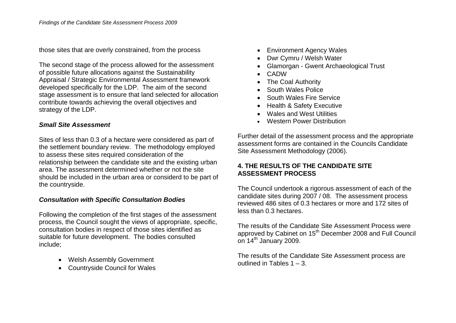those sites that are overly constrained, from the process

The second stage of the process allowed for the assessment of possible future allocations against the Sustainability Appraisal / Strategic Environmental Assessment framework developed specifically for the LDP. The aim of the second stage assessment is to ensure that land selected for allocation contribute towards achieving the overall objectives and strategy of the LDP.

#### *Small Site Assessment*

Sites of less than 0.3 of a hectare were considered as part of the settlement boundary review. The methodology employed to assess these sites required consideration of the relationship between the candidate site and the existing urban area. The assessment determined whether or not the site should be included in the urban area or considerd to be part of the countryside.

#### *Consultation with Specific Consultation Bodies*

Following the completion of the first stages of the assessment process, the Council sought the views of appropriate, specific, consultation bodies in respect of those sites identified as suitable for future development. The bodies consulted include;

- Welsh Assembly Government
- Countryside Council for Wales
- Environment Agency Wales
- Dwr Cymru / Welsh Water
- Glamorgan Gwent Archaeological Trust
- CADW
- The Coal Authority
- South Wales Police
- South Wales Fire Service
- Health & Safety Executive
- Wales and West Utilities
- Western Power Distribution

Further detail of the assessment process and the appropriate assessment forms are contained in the Councils Candidate Site Assessment Methodology (2006).

## **4. THE RESULTS OF THE CANDIDATE SITE ASSESSMENT PROCESS**

The Council undertook a rigorous assessment of each of the candidate sites during 2007 / 08. The assessment process reviewed 486 sites of 0.3 hectares or more and 172 sites of less than 0.3 hectares.

The results of the Candidate Site Assessment Process were approved by Cabinet on 15<sup>th</sup> December 2008 and Full Council on 14<sup>th</sup> January 2009.

The results of the Candidate Site Assessment process are outlined in Tables 1 – 3.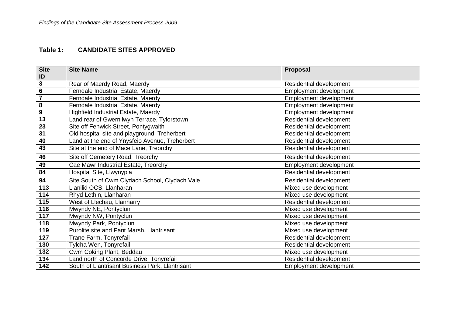## **Table 1: CANDIDATE SITES APPROVED**

| <b>Site</b>             | <b>Site Name</b>                                | Proposal                |
|-------------------------|-------------------------------------------------|-------------------------|
| ID                      |                                                 |                         |
| 3                       | Rear of Maerdy Road, Maerdy                     | Residential development |
| $\overline{6}$          | Ferndale Industrial Estate, Maerdy              | Employment development  |
| $\overline{\mathbf{7}}$ | Ferndale Industrial Estate, Maerdy              | Employment development  |
| 8                       | Ferndale Industrial Estate, Maerdy              | Employment development  |
| 9                       | Highfield Industrial Estate, Maerdy             | Employment development  |
| $\overline{13}$         | Land rear of Gwernllwyn Terrace, Tylorstown     | Residential development |
| 23                      | Site off Fenwick Street, Pontygwaith            | Residential development |
| $\overline{31}$         | Old hospital site and playground, Treherbert    | Residential development |
| 40                      | Land at the end of Ynysfeio Avenue, Treherbert  | Residential development |
| 43                      | Site at the end of Mace Lane, Treorchy          | Residential development |
| 46                      | Site off Cemetery Road, Treorchy                | Residential development |
| 49                      | Cae Mawr Industrial Estate, Treorchy            | Employment development  |
| 84                      | Hospital Site, Llwynypia                        | Residential development |
| 94                      | Site South of Cwm Clydach School, Clydach Vale  | Residential development |
| 113                     | Llanilid OCS, Llanharan                         | Mixed use development   |
| 114                     | Rhyd Lethin, Llanharan                          | Mixed use development   |
| 115                     | West of Llechau, Llanharry                      | Residential development |
| 116                     | Mwyndy NE, Pontyclun                            | Mixed use development   |
| 117                     | Mwyndy NW, Pontyclun                            | Mixed use development   |
| 118                     | Mwyndy Park, Pontyclun                          | Mixed use development   |
| 119                     | Purolite site and Pant Marsh, Llantrisant       | Mixed use development   |
| 127                     | Trane Farm, Tonyrefail                          | Residential development |
| 130                     | Tylcha Wen, Tonyrefail                          | Residential development |
| 132                     | Cwm Coking Plant, Beddau                        | Mixed use development   |
| 134                     | Land north of Concorde Drive, Tonyrefail        | Residential development |
| 142                     | South of Llantrisant Business Park, Llantrisant | Employment development  |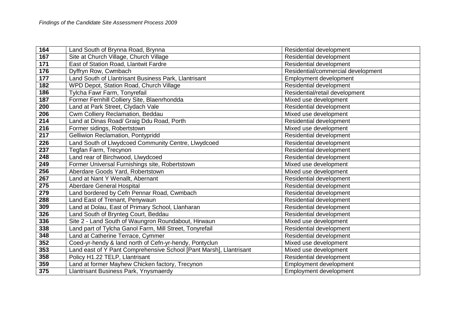| 164 | Land South of Brynna Road, Brynna                                  | Residential development            |
|-----|--------------------------------------------------------------------|------------------------------------|
| 167 | Site at Church Village, Church Village                             | Residential development            |
| 171 | East of Station Road, Llantwit Fardre                              | Residential development            |
| 176 | Dyffryn Row, Cwmbach                                               | Residential/commercial development |
| 177 | Land South of Llantrisant Business Park, Llantrisant               | Employment development             |
| 182 | WPD Depot, Station Road, Church Village                            | Residential development            |
| 186 | Tylcha Fawr Farm, Tonyrefail                                       | Residential/retail development     |
| 187 | Former Fernhill Colliery Site, Blaenrhondda                        | Mixed use development              |
| 200 | Land at Park Street, Clydach Vale                                  | Residential development            |
| 206 | Cwm Colliery Reclamation, Beddau                                   | Mixed use development              |
| 214 | Land at Dinas Road/ Graig Ddu Road, Porth                          | Residential development            |
| 216 | Former sidings, Robertstown                                        | Mixed use development              |
| 217 | Gelliwion Reclamation, Pontypridd                                  | Residential development            |
| 226 | Land South of Llwydcoed Community Centre, Llwydcoed                | Residential development            |
| 237 | Tegfan Farm, Trecynon                                              | Residential development            |
| 248 | Land rear of Birchwood, Llwydcoed                                  | Residential development            |
| 249 | Former Universal Furnishings site, Robertstown                     | Mixed use development              |
| 256 | Aberdare Goods Yard, Robertstown                                   | Mixed use development              |
| 267 | Land at Nant Y Wenallt, Abernant                                   | Residential development            |
| 275 | Aberdare General Hospital                                          | Residential development            |
| 279 | Land bordered by Cefn Pennar Road, Cwmbach                         | Residential development            |
| 288 | Land East of Trenant, Penywaun                                     | Residential development            |
| 309 | Land at Dolau, East of Primary School, Llanharan                   | Residential development            |
| 326 | Land South of Brynteg Court, Beddau                                | Residential development            |
| 336 | Site 2 - Land South of Waungron Roundabout, Hirwaun                | Mixed use development              |
| 338 | Land part of Tylcha Ganol Farm, Mill Street, Tonyrefail            | Residential development            |
| 348 | Land at Catherine Terrace, Cymmer                                  | Residential development            |
| 352 | Coed-yr-hendy & land north of Cefn-yr-hendy, Pontyclun             | Mixed use development              |
| 353 | Land east of Y Pant Comprehensive School [Pant Marsh], Llantrisant | Mixed use development              |
| 358 | Policy H1.22 TELP, Llantrisant                                     | Residential development            |
| 359 | Land at former Mayhew Chicken factory, Trecynon                    | <b>Employment development</b>      |
| 375 | Llantrisant Business Park, Ynysmaerdy                              | <b>Employment development</b>      |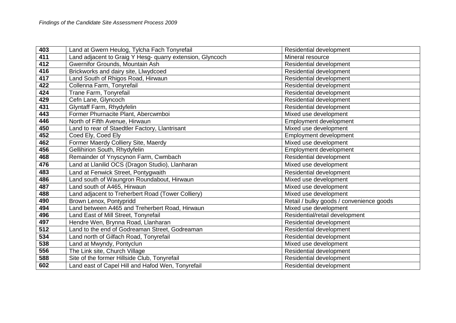| 403 | Land at Gwern Heulog, Tylcha Fach Tonyrefail              | <b>Residential development</b>           |
|-----|-----------------------------------------------------------|------------------------------------------|
| 411 | Land adjacent to Graig Y Hesg- quarry extension, Glyncoch | Mineral resource                         |
| 412 | Gwernifor Grounds, Mountain Ash                           | Residential development                  |
| 416 | Brickworks and dairy site, Llwydcoed                      | Residential development                  |
| 417 | Land South of Rhigos Road, Hirwaun                        | Residential development                  |
| 422 | Collenna Farm, Tonyrefail                                 | Residential development                  |
| 424 | Trane Farm, Tonyrefail                                    | Residential development                  |
| 429 | Cefn Lane, Glyncoch                                       | Residential development                  |
| 431 | Glyntaff Farm, Rhydyfelin                                 | Residential development                  |
| 443 | Former Phurnacite Plant, Abercwmboi                       | Mixed use development                    |
| 446 | North of Fifth Avenue, Hirwaun                            | <b>Employment development</b>            |
| 450 | Land to rear of Staedtler Factory, Llantrisant            | Mixed use development                    |
| 452 | Coed Ely, Coed Ely                                        | Employment development                   |
| 462 | Former Maerdy Colliery Site, Maerdy                       | Mixed use development                    |
| 456 | Gellihirion South, Rhydyfelin                             | <b>Employment development</b>            |
| 468 | Remainder of Ynyscynon Farm, Cwmbach                      | Residential development                  |
| 476 | Land at Llanilid OCS (Dragon Studio), Llanharan           | Mixed use development                    |
| 483 | Land at Fenwick Street, Pontygwaith                       | <b>Residential development</b>           |
| 486 | Land south of Waungron Roundabout, Hirwaun                | Mixed use development                    |
| 487 | Land south of A465, Hirwaun                               | Mixed use development                    |
| 488 | Land adjacent to Treherbert Road (Tower Colliery)         | Mixed use development                    |
| 490 | Brown Lenox, Pontypridd                                   | Retail / bulky goods / convenience goods |
| 494 | Land between A465 and Treherbert Road, Hirwaun            | Mixed use development                    |
| 496 | Land East of Mill Street, Tonyrefail                      | Residential/retail development           |
| 497 | Hendre Wen, Brynna Road, Llanharan                        | Residential development                  |
| 512 | Land to the end of Godreaman Street, Godreaman            | Residential development                  |
| 534 | Land north of Gilfach Road, Tonyrefail                    | Residential development                  |
| 538 | Land at Mwyndy, Pontyclun                                 | Mixed use development                    |
| 556 | The Link site, Church Village                             | Residential development                  |
| 588 | Site of the former Hillside Club, Tonyrefail              | <b>Residential development</b>           |
| 602 | Land east of Capel Hill and Hafod Wen, Tonyrefail         | <b>Residential development</b>           |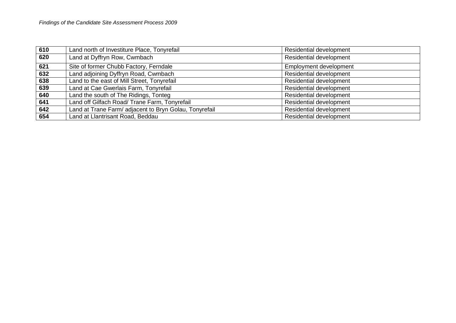| 610 | Land north of Investiture Place, Tonyrefail            | Residential development        |
|-----|--------------------------------------------------------|--------------------------------|
| 620 | Land at Dyffryn Row, Cwmbach                           | Residential development        |
| 621 | Site of former Chubb Factory, Ferndale                 | Employment development         |
| 632 | Land adjoining Dyffryn Road, Cwmbach                   | Residential development        |
| 638 | Land to the east of Mill Street, Tonyrefail            | Residential development        |
| 639 | Land at Cae Gwerlais Farm, Tonyrefail                  | <b>Residential development</b> |
| 640 | Land the south of The Ridings, Tonteg                  | Residential development        |
| 641 | Land off Gilfach Road/ Trane Farm, Tonyrefail          | Residential development        |
| 642 | Land at Trane Farm/ adjacent to Bryn Golau, Tonyrefail | Residential development        |
| 654 | Land at Llantrisant Road, Beddau                       | Residential development        |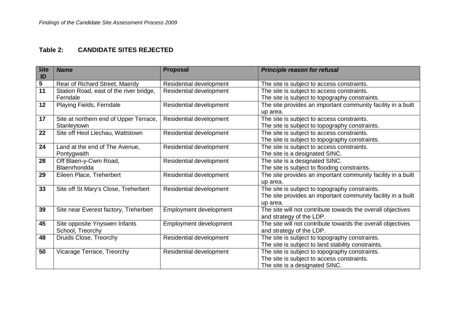## **Table 2: CANDIDATE SITES REJECTED**

| <b>Site</b><br>ID | <b>Name</b>                             | <b>Proposal</b>         | <b>Principle reason for refusal</b>                          |
|-------------------|-----------------------------------------|-------------------------|--------------------------------------------------------------|
| $\sqrt{5}$        | Rear of Richard Street, Maerdy          | Residential development | The site is subject to access constraints.                   |
| 11                | Station Road, east of the river bridge, | Residential development | The site is subject to access constraints.                   |
|                   | Ferndale                                |                         | The site is subject to topography constraints.               |
| 12                | Playing Fields, Ferndale                | Residential development | The site provides an important community facility in a built |
|                   |                                         |                         | up area.                                                     |
| 17                | Site at northern end of Upper Terrace,  | Residential development | The site is subject to access constraints.                   |
|                   | Stanleytown                             |                         | The site is subject to topography constraints.               |
| 22                | Site off Heol Llechau, Wattstown        | Residential development | The site is subject to access constraints.                   |
|                   |                                         |                         | The site is subject to topography constraints.               |
| 24                | Land at the end of The Avenue,          | Residential development | The site is subject to access constraints.                   |
|                   | Pontygwaith                             |                         | The site is a designated SINC.                               |
| 28                | Off Blaen-y-Cwm Road,                   | Residential development | The site is a designated SINC.                               |
|                   | Blaenrhondda                            |                         | The site is subject to flooding constraints.                 |
| 29                | Eileen Place, Treherbert                | Residential development | The site provides an important community facility in a built |
|                   |                                         |                         | up area.                                                     |
| 33                | Site off St Mary's Close, Treherbert    | Residential development | The site is subject to topography constraints.               |
|                   |                                         |                         | The site provides an important community facility in a built |
|                   |                                         |                         | up area.                                                     |
| 39                | Site near Everest factory, Treherbert   | Employment development  | The site will not contribute towards the overall objectives  |
|                   |                                         |                         | and strategy of the LDP.                                     |
| 45                | Site opposite Ynyswen Infants           | Employment development  | The site will not contribute towards the overall objectives  |
|                   | School, Treorchy                        |                         | and strategy of the LDP.                                     |
| 48                | Druids Close, Treorchy                  | Residential development | The site is subject to topography constraints.               |
|                   |                                         |                         | The site is subject to land stability constraints.           |
| 50                | Vicarage Terrace, Treorchy              | Residential development | The site is subject to topography constraints.               |
|                   |                                         |                         | The site is subject to access constraints.                   |
|                   |                                         |                         | The site is a designated SINC.                               |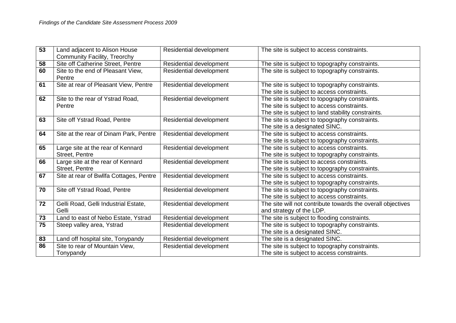| 53 | Land adjacent to Alison House                       | Residential development        | The site is subject to access constraints.                                                                                                         |
|----|-----------------------------------------------------|--------------------------------|----------------------------------------------------------------------------------------------------------------------------------------------------|
|    | Community Facility, Treorchy                        |                                |                                                                                                                                                    |
| 58 | Site off Catherine Street, Pentre                   | Residential development        | The site is subject to topography constraints.                                                                                                     |
| 60 | Site to the end of Pleasant View,<br>Pentre         | <b>Residential development</b> | The site is subject to topography constraints.                                                                                                     |
| 61 | Site at rear of Pleasant View, Pentre               | Residential development        | The site is subject to topography constraints.<br>The site is subject to access constraints.                                                       |
| 62 | Site to the rear of Ystrad Road,<br>Pentre          | Residential development        | The site is subject to topography constraints.<br>The site is subject to access constraints.<br>The site is subject to land stability constraints. |
| 63 | Site off Ystrad Road, Pentre                        | Residential development        | The site is subject to topography constraints.<br>The site is a designated SINC.                                                                   |
| 64 | Site at the rear of Dinam Park, Pentre              | Residential development        | The site is subject to access constraints.<br>The site is subject to topography constraints.                                                       |
| 65 | Large site at the rear of Kennard<br>Street, Pentre | Residential development        | The site is subject to access constraints.<br>The site is subject to topography constraints.                                                       |
| 66 | Large site at the rear of Kennard<br>Street, Pentre | Residential development        | The site is subject to access constraints.<br>The site is subject to topography constraints.                                                       |
| 67 | Site at rear of Bwllfa Cottages, Pentre             | Residential development        | The site is subject to access constraints.<br>The site is subject to topography constraints.                                                       |
| 70 | Site off Ystrad Road, Pentre                        | Residential development        | The site is subject to topography constraints.<br>The site is subject to access constraints.                                                       |
| 72 | Gelli Road, Gelli Industrial Estate,<br>Gelli       | Residential development        | The site will not contribute towards the overall objectives<br>and strategy of the LDP.                                                            |
| 73 | Land to east of Nebo Estate, Ystrad                 | Residential development        | The site is subject to flooding constraints.                                                                                                       |
| 75 | Steep valley area, Ystrad                           | Residential development        | The site is subject to topography constraints.                                                                                                     |
|    |                                                     |                                | The site is a designated SINC.                                                                                                                     |
| 83 | Land off hospital site, Tonypandy                   | Residential development        | The site is a designated SINC.                                                                                                                     |
| 86 | Site to rear of Mountain View,                      | Residential development        | The site is subject to topography constraints.                                                                                                     |
|    | Tonypandy                                           |                                | The site is subject to access constraints.                                                                                                         |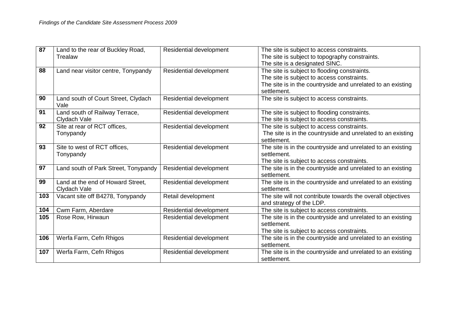| 87  | Land to the rear of Buckley Road,           | <b>Residential development</b> | The site is subject to access constraints.                  |
|-----|---------------------------------------------|--------------------------------|-------------------------------------------------------------|
|     | Trealaw                                     |                                | The site is subject to topography constraints.              |
|     |                                             |                                | The site is a designated SINC.                              |
| 88  | Land near visitor centre, Tonypandy         | Residential development        | The site is subject to flooding constraints.                |
|     |                                             |                                | The site is subject to access constraints.                  |
|     |                                             |                                | The site is in the countryside and unrelated to an existing |
|     |                                             |                                | settlement.                                                 |
| 90  | Land south of Court Street, Clydach<br>Vale | Residential development        | The site is subject to access constraints.                  |
| 91  | Land south of Railway Terrace,              | Residential development        | The site is subject to flooding constraints.                |
|     | Clydach Vale                                |                                | The site is subject to access constraints.                  |
| 92  | Site at rear of RCT offices,                | Residential development        | The site is subject to access constraints.                  |
|     | Tonypandy                                   |                                | The site is in the countryside and unrelated to an existing |
|     |                                             |                                | settlement.                                                 |
| 93  | Site to west of RCT offices,                | Residential development        | The site is in the countryside and unrelated to an existing |
|     | Tonypandy                                   |                                | settlement.                                                 |
|     |                                             |                                | The site is subject to access constraints.                  |
| 97  | Land south of Park Street, Tonypandy        | Residential development        | The site is in the countryside and unrelated to an existing |
|     |                                             |                                | settlement.                                                 |
| 99  | Land at the end of Howard Street,           | Residential development        | The site is in the countryside and unrelated to an existing |
|     | Clydach Vale                                |                                | settlement.                                                 |
| 103 | Vacant site off B4278, Tonypandy            | Retail development             | The site will not contribute towards the overall objectives |
|     |                                             |                                | and strategy of the LDP.                                    |
| 104 | Cwm Farm, Aberdare                          | Residential development        | The site is subject to access constraints.                  |
| 105 | Rose Row, Hirwaun                           | <b>Residential development</b> | The site is in the countryside and unrelated to an existing |
|     |                                             |                                | settlement.                                                 |
|     |                                             |                                | The site is subject to access constraints.                  |
| 106 | Werfa Farm, Cefn Rhigos                     | Residential development        | The site is in the countryside and unrelated to an existing |
|     |                                             |                                | settlement.                                                 |
| 107 | Werfa Farm, Cefn Rhigos                     | Residential development        | The site is in the countryside and unrelated to an existing |
|     |                                             |                                | settlement.                                                 |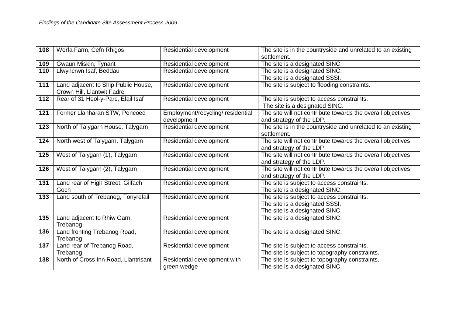| 108 | Werfa Farm, Cefn Rhigos                                           | Residential development           | The site is in the countryside and unrelated to an existing<br>settlement.   |
|-----|-------------------------------------------------------------------|-----------------------------------|------------------------------------------------------------------------------|
| 109 | Gwaun Miskin, Tynant                                              | Residential development           | The site is a designated SINC.                                               |
| 110 | Llwyncrwn Isaf, Beddau                                            | Residential development           | The site is a designated SINC.                                               |
|     |                                                                   |                                   | The site is a designated SSSI.                                               |
| 111 | Land adjacent to Ship Public House,<br>Crown Hill, Llantwit Fadre | Residential development           | The site is subject to flooding constraints.                                 |
| 112 | Rear of 31 Heol-y-Parc, Efail Isaf                                | Residential development           | The site is subject to access constraints.                                   |
|     |                                                                   |                                   | The site is a designated SINC.                                               |
| 121 | Former Llanharan STW, Pencoed                                     | Employment/recycling/ residential | The site will not contribute towards the overall objectives                  |
|     |                                                                   | development                       | and strategy of the LDP.                                                     |
| 123 | North of Talygarn House, Talygarn                                 | Residential development           | The site is in the countryside and unrelated to an existing                  |
|     |                                                                   |                                   | settlement.                                                                  |
| 124 | North west of Talygarn, Talygarn                                  | <b>Residential development</b>    | The site will not contribute towards the overall objectives                  |
|     |                                                                   |                                   | and strategy of the LDP                                                      |
| 125 | West of Talygarn (1), Talygarn                                    | Residential development           | The site will not contribute towards the overall objectives                  |
|     |                                                                   |                                   | and strategy of the LDP.                                                     |
| 126 | West of Talygarn (2), Talygarn                                    | Residential development           | The site will not contribute towards the overall objectives                  |
| 131 |                                                                   |                                   | and strategy of the LDP.                                                     |
|     | Land rear of High Street, Gilfach<br>Goch                         | Residential development           | The site is subject to access constraints.<br>The site is a designated SINC. |
| 133 | Land south of Trebanog, Tonyrefail                                | Residential development           | The site is subject to access constraints.                                   |
|     |                                                                   |                                   | The site is a designated SSSI.                                               |
|     |                                                                   |                                   | The site is a designated SINC.                                               |
| 135 | Land adjacent to Rhiw Garn,                                       | Residential development           | The site is a designated SINC.                                               |
|     | Trebanog                                                          |                                   |                                                                              |
| 136 | Land fronting Trebanog Road,                                      | Residential development           | The site is a designated SINC.                                               |
|     | Trebanog                                                          |                                   |                                                                              |
| 137 | Land rear of Trebanog Road,                                       | Residential development           | The site is subject to access constraints.                                   |
|     | Trebanog                                                          |                                   | The site is subject to topography constraints.                               |
| 138 | North of Cross Inn Road, Llantrisant                              | Residential development with      | The site is subject to topography constraints.                               |
|     |                                                                   | green wedge                       | The site is a designated SINC.                                               |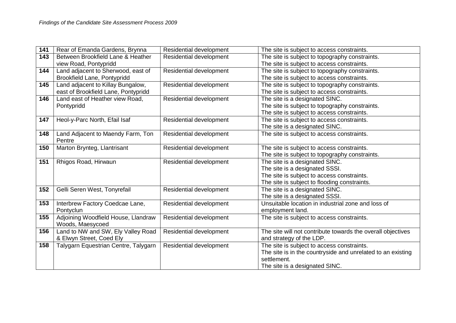| 141 | Rear of Emanda Gardens, Brynna       | Residential development        | The site is subject to access constraints.                  |
|-----|--------------------------------------|--------------------------------|-------------------------------------------------------------|
| 143 | Between Brookfield Lane & Heather    | <b>Residential development</b> | The site is subject to topography constraints.              |
|     | view Road, Pontypridd                |                                | The site is subject to access constraints.                  |
| 144 | Land adjacent to Sherwood, east of   | Residential development        | The site is subject to topography constraints.              |
|     | Brookfield Lane, Pontypridd          |                                | The site is subject to access constraints.                  |
| 145 | Land adjacent to Killay Bungalow,    | Residential development        | The site is subject to topography constraints.              |
|     | east of Brookfield Lane, Pontypridd  |                                | The site is subject to access constraints.                  |
| 146 | Land east of Heather view Road,      | Residential development        | The site is a designated SINC.                              |
|     | Pontypridd                           |                                | The site is subject to topography constraints.              |
|     |                                      |                                | The site is subject to access constraints.                  |
| 147 | Heol-y-Parc North, Efail Isaf        | Residential development        | The site is subject to access constraints.                  |
|     |                                      |                                | The site is a designated SINC.                              |
| 148 | Land Adjacent to Maendy Farm, Ton    | Residential development        | The site is subject to access constraints.                  |
|     | Pentre                               |                                |                                                             |
| 150 | Marton Brynteg, Llantrisant          | Residential development        | The site is subject to access constraints.                  |
|     |                                      |                                | The site is subject to topography constraints.              |
| 151 | Rhigos Road, Hirwaun                 | Residential development        | The site is a designated SINC.                              |
|     |                                      |                                | The site is a designated SSSI.                              |
|     |                                      |                                | The site is subject to access constraints.                  |
|     |                                      |                                | The site is subject to flooding constraints.                |
| 152 | Gelli Seren West, Tonyrefail         | Residential development        | The site is a designated SINC.                              |
|     |                                      |                                | The site is a designated SSSI.                              |
| 153 | Interbrew Factory Coedcae Lane,      | Residential development        | Unsuitable location in industrial zone and loss of          |
|     | Pontyclun                            |                                | employment land.                                            |
| 155 | Adjoining Woodfield House, Llandraw  | Residential development        | The site is subject to access constraints.                  |
|     | Woods, Maesycoed                     |                                |                                                             |
| 156 | Land to NW and SW, Ely Valley Road   | Residential development        | The site will not contribute towards the overall objectives |
|     | & Elwyn Street, Coed Ely             |                                | and strategy of the LDP.                                    |
| 158 | Talygarn Equestrian Centre, Talygarn | Residential development        | The site is subject to access constraints.                  |
|     |                                      |                                | The site is in the countryside and unrelated to an existing |
|     |                                      |                                | settlement.                                                 |
|     |                                      |                                | The site is a designated SINC.                              |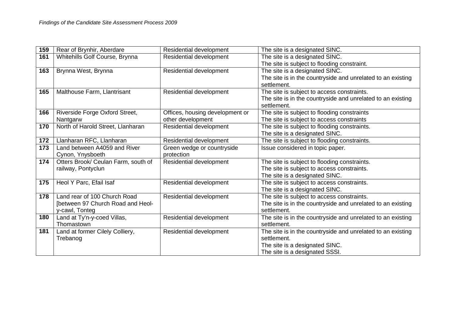| 159 | Rear of Brynhir, Aberdare           | Residential development         | The site is a designated SINC.                              |
|-----|-------------------------------------|---------------------------------|-------------------------------------------------------------|
| 161 | Whitehills Golf Course, Brynna      | Residential development         | The site is a designated SINC.                              |
|     |                                     |                                 | The site is subject to flooding constraint.                 |
| 163 | Brynna West, Brynna                 | Residential development         | The site is a designated SINC.                              |
|     |                                     |                                 | The site is in the countryside and unrelated to an existing |
|     |                                     |                                 | settlement.                                                 |
| 165 | Malthouse Farm, Llantrisant         | Residential development         | The site is subject to access constraints.                  |
|     |                                     |                                 | The site is in the countryside and unrelated to an existing |
|     |                                     |                                 | settlement.                                                 |
| 166 | Riverside Forge Oxford Street,      | Offices, housing development or | The site is subject to flooding constraints                 |
|     | Nantgarw                            | other development               | The site is subject to access constraints                   |
| 170 | North of Harold Street, Llanharan   | Residential development         | The site is subject to flooding constraints.                |
|     |                                     |                                 | The site is a designated SINC.                              |
| 172 | Llanharan RFC, Llanharan            | Residential development         | The site is subject to flooding constraints.                |
| 173 | Land between A4059 and River        | Green wedge or countryside      | Issue considered in topic paper.                            |
|     | Cynon, Ynysboeth                    | protection                      |                                                             |
| 174 | Otters Brook/ Ceulan Farm, south of | Residential development         | The site is subject to flooding constraints.                |
|     | railway, Pontyclun                  |                                 | The site is subject to access constraints.                  |
|     |                                     |                                 | The site is a designated SINC.                              |
| 175 | Heol Y Parc, Efail Isaf             | Residential development         | The site is subject to access constraints.                  |
|     |                                     |                                 | The site is a designated SINC.                              |
| 178 | Land rear of 100 Church Road        | Residential development         | The site is subject to access constraints.                  |
|     | [between 97 Church Road and Heol-   |                                 | The site is in the countryside and unrelated to an existing |
|     | y-cawl, Tonteg                      |                                 | settlement.                                                 |
| 180 | Land at Ty'n-y-coed Villas,         | Residential development         | The site is in the countryside and unrelated to an existing |
|     | Thomastown                          |                                 | settlement.                                                 |
| 181 | Land at former Cilely Colliery,     | Residential development         | The site is in the countryside and unrelated to an existing |
|     | Trebanog                            |                                 | settlement.                                                 |
|     |                                     |                                 | The site is a designated SINC.                              |
|     |                                     |                                 | The site is a designated SSSI.                              |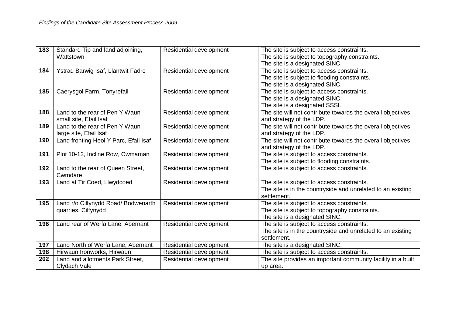| 183 | Standard Tip and land adjoining,      | Residential development | The site is subject to access constraints.                   |
|-----|---------------------------------------|-------------------------|--------------------------------------------------------------|
|     | Wattstown                             |                         | The site is subject to topography constraints.               |
|     |                                       |                         | The site is a designated SINC.                               |
| 184 | Ystrad Barwig Isaf, Llantwit Fadre    | Residential development | The site is subject to access constraints.                   |
|     |                                       |                         | The site is subject to flooding constraints.                 |
|     |                                       |                         | The site is a designated SINC.                               |
| 185 | Caerysgol Farm, Tonyrefail            | Residential development | The site is subject to access constraints.                   |
|     |                                       |                         | The site is a designated SINC.                               |
|     |                                       |                         | The site is a designated SSSI.                               |
| 188 | Land to the rear of Pen Y Waun -      | Residential development | The site will not contribute towards the overall objectives  |
|     | small site, Efail Isaf                |                         | and strategy of the LDP.                                     |
| 189 | Land to the rear of Pen Y Waun -      | Residential development | The site will not contribute towards the overall objectives  |
|     | large site, Efail Isaf                |                         | and strategy of the LDP.                                     |
| 190 | Land fronting Heol Y Parc, Efail Isaf | Residential development | The site will not contribute towards the overall objectives  |
|     |                                       |                         | and strategy of the LDP.                                     |
| 191 | Plot 10-12, Incline Row, Cwmaman      | Residential development | The site is subject to access constraints.                   |
|     |                                       |                         | The site is subject to flooding constraints.                 |
| 192 | Land to the rear of Queen Street,     | Residential development | The site is subject to access constraints.                   |
|     | Cwmdare                               |                         |                                                              |
| 193 | Land at Tir Coed, Llwydcoed           | Residential development | The site is subject to access constraints.                   |
|     |                                       |                         | The site is in the countryside and unrelated to an existing  |
|     |                                       |                         | settlement.                                                  |
| 195 | Land r/o Cilfynydd Road/ Bodwenarth   | Residential development | The site is subject to access constraints.                   |
|     | quarries, Cilfynydd                   |                         | The site is subject to topography constraints.               |
|     |                                       |                         | The site is a designated SINC.                               |
| 196 | Land rear of Werfa Lane, Abernant     | Residential development | The site is subject to access constraints.                   |
|     |                                       |                         | The site is in the countryside and unrelated to an existing  |
|     |                                       |                         | settlement.                                                  |
| 197 | Land North of Werfa Lane, Abernant    | Residential development | The site is a designated SINC.                               |
| 198 | Hirwaun Ironworks, Hirwaun            | Residential development | The site is subject to access constraints.                   |
| 202 | Land and allotments Park Street,      | Residential development | The site provides an important community facility in a built |
|     | Clydach Vale                          |                         | up area.                                                     |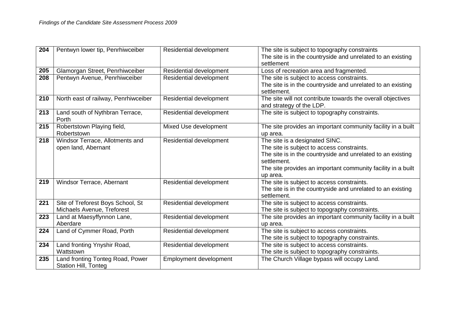| 204 | Pentwyn lower tip, Penrhiwceiber                                | <b>Residential development</b> | The site is subject to topography constraints<br>The site is in the countryside and unrelated to an existing<br>settlement                                                                                                             |
|-----|-----------------------------------------------------------------|--------------------------------|----------------------------------------------------------------------------------------------------------------------------------------------------------------------------------------------------------------------------------------|
| 205 | Glamorgan Street, Penrhiwceiber                                 | Residential development        | Loss of recreation area and fragmented.                                                                                                                                                                                                |
| 208 | Pentwyn Avenue, Penrhiwceiber                                   | Residential development        | The site is subject to access constraints.<br>The site is in the countryside and unrelated to an existing<br>settlement.                                                                                                               |
| 210 | North east of railway, Penrhiwceiber                            | Residential development        | The site will not contribute towards the overall objectives<br>and strategy of the LDP.                                                                                                                                                |
| 213 | Land south of Nythbran Terrace,<br>Porth                        | Residential development        | The site is subject to topography constraints.                                                                                                                                                                                         |
| 215 | Robertstown Playing field,<br>Robertstown                       | Mixed Use development          | The site provides an important community facility in a built<br>up area.                                                                                                                                                               |
| 218 | Windsor Terrace, Allotments and<br>open land, Abernant          | Residential development        | The site is a designated SINC.<br>The site is subject to access constraints.<br>The site is in the countryside and unrelated to an existing<br>settlement.<br>The site provides an important community facility in a built<br>up area. |
| 219 | Windsor Terrace, Abernant                                       | Residential development        | The site is subject to access constraints.<br>The site is in the countryside and unrelated to an existing<br>settlement.                                                                                                               |
| 221 | Site of Treforest Boys School, St<br>Michaels Avenue, Treforest | Residential development        | The site is subject to access constraints.<br>The site is subject to topography constraints.                                                                                                                                           |
| 223 | Land at Maesyffynnon Lane,<br>Aberdare                          | Residential development        | The site provides an important community facility in a built<br>up area.                                                                                                                                                               |
| 224 | Land of Cymmer Road, Porth                                      | Residential development        | The site is subject to access constraints.<br>The site is subject to topography constraints.                                                                                                                                           |
| 234 | Land fronting Ynyshir Road,<br>Wattstown                        | Residential development        | The site is subject to access constraints.<br>The site is subject to topography constraints.                                                                                                                                           |
| 235 | Land fronting Tonteg Road, Power<br><b>Station Hill, Tonteg</b> | Employment development         | The Church Village bypass will occupy Land.                                                                                                                                                                                            |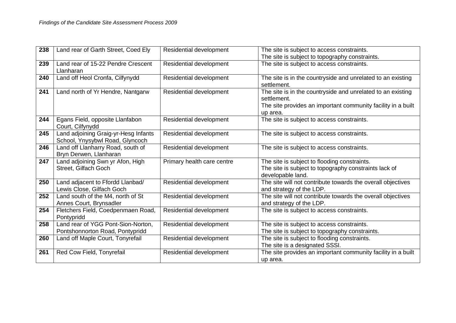| 238 | Land rear of Garth Street, Coed Ely                                     | <b>Residential development</b> | The site is subject to access constraints.                                                                                                             |
|-----|-------------------------------------------------------------------------|--------------------------------|--------------------------------------------------------------------------------------------------------------------------------------------------------|
|     |                                                                         |                                | The site is subject to topography constraints.                                                                                                         |
| 239 | Land rear of 15-22 Pendre Crescent<br>Llanharan                         | Residential development        | The site is subject to access constraints.                                                                                                             |
| 240 | Land off Heol Cronfa, Cilfynydd                                         | Residential development        | The site is in the countryside and unrelated to an existing<br>settlement.                                                                             |
| 241 | Land north of Yr Hendre, Nantgarw                                       | Residential development        | The site is in the countryside and unrelated to an existing<br>settlement.<br>The site provides an important community facility in a built<br>up area. |
| 244 | Egans Field, opposite Llanfabon<br>Court, Cilfynydd                     | Residential development        | The site is subject to access constraints.                                                                                                             |
| 245 | Land adjoining Graig-yr-Hesg Infants<br>School, Ynysybwl Road, Glyncoch | Residential development        | The site is subject to access constraints.                                                                                                             |
| 246 | Land off Llanharry Road, south of<br>Bryn Derwen, Llanharan             | Residential development        | The site is subject to access constraints.                                                                                                             |
| 247 | Land adjoining Swn yr Afon, High<br>Street, Gilfach Goch                | Primary health care centre     | The site is subject to flooding constraints.<br>The site is subject to topography constraints lack of<br>developable land.                             |
| 250 | Land adjacent to Ffordd Llanbad/<br>Lewis Close, Gilfach Goch           | Residential development        | The site will not contribute towards the overall objectives<br>and strategy of the LDP.                                                                |
| 252 | Land south of the M4, north of St<br>Annes Court, Brynsadler            | Residential development        | The site will not contribute towards the overall objectives<br>and strategy of the LDP.                                                                |
| 254 | Fletchers Field, Coedpenmaen Road,<br>Pontypridd                        | Residential development        | The site is subject to access constraints.                                                                                                             |
| 258 | Land rear of YGG Pont-Sion-Norton,<br>Pontshonnorton Road, Pontypridd   | Residential development        | The site is subject to access constraints.<br>The site is subject to topography constraints.                                                           |
| 260 | Land off Maple Court, Tonyrefail                                        | Residential development        | The site is subject to flooding constraints.<br>The site is a designated SSSI.                                                                         |
| 261 | Red Cow Field, Tonyrefail                                               | Residential development        | The site provides an important community facility in a built<br>up area.                                                                               |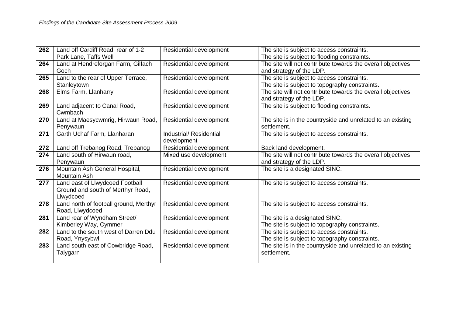| 262 | Land off Cardiff Road, rear of 1-2     | <b>Residential development</b> | The site is subject to access constraints.                  |
|-----|----------------------------------------|--------------------------------|-------------------------------------------------------------|
|     | Park Lane, Taffs Well                  |                                | The site is subject to flooding constraints.                |
| 264 | Land at Hendreforgan Farm, Gilfach     | Residential development        | The site will not contribute towards the overall objectives |
|     | Goch                                   |                                | and strategy of the LDP.                                    |
| 265 | Land to the rear of Upper Terrace,     | Residential development        | The site is subject to access constraints.                  |
|     | Stanleytown                            |                                | The site is subject to topography constraints.              |
| 268 | Elms Farm, Llanharry                   | Residential development        | The site will not contribute towards the overall objectives |
|     |                                        |                                | and strategy of the LDP.                                    |
| 269 | Land adjacent to Canal Road,           | Residential development        | The site is subject to flooding constraints.                |
|     | Cwmbach                                |                                |                                                             |
| 270 | Land at Maesycwmrig, Hirwaun Road,     | Residential development        | The site is in the countryside and unrelated to an existing |
|     | Penywaun                               |                                | settlement.                                                 |
| 271 | Garth Uchaf Farm, Llanharan            | Industrial/ Residential        | The site is subject to access constraints.                  |
|     |                                        | development                    |                                                             |
| 272 | Land off Trebanog Road, Trebanog       | Residential development        | Back land development.                                      |
| 274 | Land south of Hirwaun road,            | Mixed use development          | The site will not contribute towards the overall objectives |
|     | Penywaun                               |                                | and strategy of the LDP.                                    |
| 276 | Mountain Ash General Hospital,         | Residential development        | The site is a designated SINC.                              |
|     | Mountain Ash                           |                                |                                                             |
| 277 | Land east of Llwydcoed Football        | Residential development        | The site is subject to access constraints.                  |
|     | Ground and south of Merthyr Road,      |                                |                                                             |
|     | Llwydcoed                              |                                |                                                             |
| 278 | Land north of football ground, Merthyr | Residential development        | The site is subject to access constraints.                  |
|     | Road, Llwydcoed                        |                                |                                                             |
| 281 | Land rear of Wyndham Street/           | Residential development        | The site is a designated SINC.                              |
|     | Kimberley Way, Cymmer                  |                                | The site is subject to topography constraints.              |
| 282 | Land to the south west of Darren Ddu   | Residential development        | The site is subject to access constraints.                  |
|     | Road, Ynysybwl                         |                                | The site is subject to topography constraints.              |
| 283 | Land south east of Cowbridge Road,     | Residential development        | The site is in the countryside and unrelated to an existing |
|     | Talygarn                               |                                | settlement.                                                 |
|     |                                        |                                |                                                             |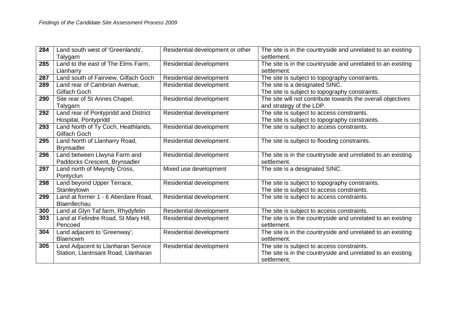| 284 | Land south west of 'Greenlands',     | Residential development or other | The site is in the countryside and unrelated to an existing |
|-----|--------------------------------------|----------------------------------|-------------------------------------------------------------|
|     | Talygarn                             |                                  | settlement.                                                 |
| 285 | Land to the east of The Elms Farm,   | Residential development          | The site is in the countryside and unrelated to an existing |
|     | Llanharry                            |                                  | settlement.                                                 |
| 287 | Land south of Fairview, Gilfach Goch | Residential development          | The site is subject to topography constraints.              |
| 289 | Land rear of Cambrian Avenue,        | Residential development          | The site is a designated SINC.                              |
|     | Gilfach Goch                         |                                  | The site is subject to topography constraints.              |
| 290 | Site rear of St Annes Chapel,        | Residential development          | The site will not contribute towards the overall objectives |
|     | Talygarn                             |                                  | and strategy of the LDP.                                    |
| 292 | Land rear of Pontypridd and District | Residential development          | The site is subject to access constraints.                  |
|     | Hospital, Pontypridd                 |                                  | The site is subject to topography constraints.              |
| 293 | Land North of Ty Coch, Heathlands,   | Residential development          | The site is subject to access constraints.                  |
|     | Gilfach Goch                         |                                  |                                                             |
| 295 | Land North of Llanharry Road,        | Residential development          | The site is subject to flooding constraints.                |
|     | <b>Brynsadler</b>                    |                                  |                                                             |
| 296 | Land between Llwyna Farm and         | Residential development          | The site is in the countryside and unrelated to an existing |
|     | Paddocks Crescent, Brynsadler        |                                  | settlement.                                                 |
| 297 | Land north of Mwyndy Cross,          | Mixed use development            | The site is a designated SINC.                              |
|     | Pontyclun                            |                                  |                                                             |
| 298 | Land beyond Upper Terrace,           | Residential development          | The site is subject to topography constraints.              |
|     | Stanleytown                          |                                  | The site is subject to access constraints.                  |
| 299 | Land at former 1 - 6 Aberdare Road,  | Residential development          | The site is subject to access constraints.                  |
|     | Blaenllechau                         |                                  |                                                             |
| 300 | Land at Glyn Taf farm, Rhydyfelin    | Residential development          | The site is subject to access constraints.                  |
| 303 | Land at Felindre Road, St Mary Hill, | Residential development          | The site is in the countryside and unrelated to an existing |
|     | Pencoed                              |                                  | settlement.                                                 |
| 304 | Land adjacent to 'Greenway',         | Residential development          | The site is in the countryside and unrelated to an existing |
|     | Blaencwm                             |                                  | settlement.                                                 |
| 305 | Land Adjacent to Llanharan Service   | Residential development          | The site is subject to access constraints.                  |
|     | Station, Llantrisant Road, Llanharan |                                  | The site is in the countryside and unrelated to an existing |
|     |                                      |                                  | settlement.                                                 |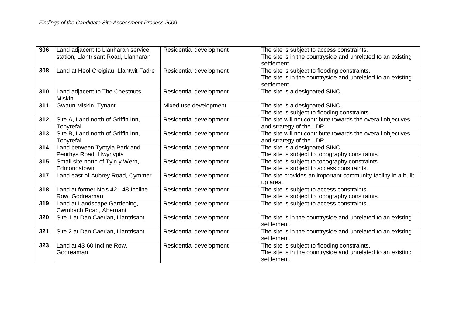| 306 | Land adjacent to Llanharan service    | Residential development        | The site is subject to access constraints.                   |
|-----|---------------------------------------|--------------------------------|--------------------------------------------------------------|
|     | station, Llantrisant Road, Llanharan  |                                | The site is in the countryside and unrelated to an existing  |
|     |                                       |                                | settlement.                                                  |
| 308 | Land at Heol Creigiau, Llantwit Fadre | Residential development        | The site is subject to flooding constraints.                 |
|     |                                       |                                | The site is in the countryside and unrelated to an existing  |
|     |                                       |                                | settlement.                                                  |
| 310 | Land adjacent to The Chestnuts,       | <b>Residential development</b> | The site is a designated SINC.                               |
|     | <b>Miskin</b>                         |                                |                                                              |
| 311 | Gwaun Miskin, Tynant                  | Mixed use development          | The site is a designated SINC.                               |
|     |                                       |                                | The site is subject to flooding constraints.                 |
| 312 | Site A, Land north of Griffin Inn,    | Residential development        | The site will not contribute towards the overall objectives  |
|     | Tonyrefail                            |                                | and strategy of the LDP.                                     |
| 313 | Site B, Land north of Griffin Inn,    | Residential development        | The site will not contribute towards the overall objectives  |
|     | Tonyrefail                            |                                | and strategy of the LDP.                                     |
| 314 | Land between Tyntyla Park and         | Residential development        | The site is a designated SINC.                               |
|     | Penrhys Road, Llwynypia               |                                | The site is subject to topography constraints.               |
| 315 | Small site north of Ty'n y Wern,      | Residential development        | The site is subject to topography constraints.               |
|     | Edmondstown                           |                                | The site is subject to access constraints.                   |
| 317 | Land east of Aubrey Road, Cymmer      | Residential development        | The site provides an important community facility in a built |
|     |                                       |                                | up area.                                                     |
| 318 | Land at former No's 42 - 48 Incline   | Residential development        | The site is subject to access constraints.                   |
|     | Row, Godreaman                        |                                | The site is subject to topography constraints.               |
| 319 | Land at Landscape Gardening,          | Residential development        | The site is subject to access constraints.                   |
|     | Cwmbach Road, Abernant                |                                |                                                              |
| 320 | Site 1 at Dan Caerlan, Llantrisant    | Residential development        | The site is in the countryside and unrelated to an existing  |
|     |                                       |                                | settlement.                                                  |
| 321 | Site 2 at Dan Caerlan, Llantrisant    | Residential development        | The site is in the countryside and unrelated to an existing  |
|     |                                       |                                | settlement.                                                  |
| 323 | Land at 43-60 Incline Row,            | Residential development        | The site is subject to flooding constraints.                 |
|     | Godreaman                             |                                | The site is in the countryside and unrelated to an existing  |
|     |                                       |                                | settlement.                                                  |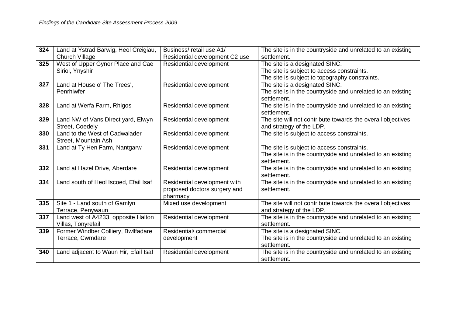| 324 | Land at Ystrad Barwig, Heol Creigiau,                 | Business/retail use A1/                                                  | The site is in the countryside and unrelated to an existing                             |
|-----|-------------------------------------------------------|--------------------------------------------------------------------------|-----------------------------------------------------------------------------------------|
|     | <b>Church Village</b>                                 | Residential development C2 use                                           | settlement.                                                                             |
| 325 | West of Upper Gynor Place and Cae                     | Residential development                                                  | The site is a designated SINC.                                                          |
|     | Siriol, Ynyshir                                       |                                                                          | The site is subject to access constraints.                                              |
|     |                                                       |                                                                          | The site is subject to topography constraints.                                          |
| 327 | Land at House o' The Trees',                          | Residential development                                                  | The site is a designated SINC.                                                          |
|     | Penrhiwfer                                            |                                                                          | The site is in the countryside and unrelated to an existing<br>settlement.              |
| 328 | Land at Werfa Farm, Rhigos                            | Residential development                                                  | The site is in the countryside and unrelated to an existing<br>settlement.              |
| 329 | Land NW of Vans Direct yard, Elwyn<br>Street, Coedely | Residential development                                                  | The site will not contribute towards the overall objectives<br>and strategy of the LDP. |
| 330 | Land to the West of Cadwalader                        | Residential development                                                  | The site is subject to access constraints.                                              |
|     | Street, Mountain Ash                                  |                                                                          |                                                                                         |
| 331 | Land at Ty Hen Farm, Nantgarw                         | Residential development                                                  | The site is subject to access constraints.                                              |
|     |                                                       |                                                                          | The site is in the countryside and unrelated to an existing<br>settlement.              |
| 332 | Land at Hazel Drive, Aberdare                         | Residential development                                                  | The site is in the countryside and unrelated to an existing<br>settlement.              |
| 334 | Land south of Heol Iscoed, Efail Isaf                 | Residential development with<br>proposed doctors surgery and<br>pharmacy | The site is in the countryside and unrelated to an existing<br>settlement.              |
| 335 | Site 1 - Land south of Gamlyn                         | Mixed use development                                                    | The site will not contribute towards the overall objectives                             |
|     | Terrace, Penywaun                                     |                                                                          | and strategy of the LDP.                                                                |
| 337 | Land west of A4233, opposite Halton                   | Residential development                                                  | The site is in the countryside and unrelated to an existing                             |
|     | Villas, Tonyrefail                                    |                                                                          | settlement.                                                                             |
| 339 | Former Windber Colliery, Bwllfadare                   | Residential/commercial                                                   | The site is a designated SINC.                                                          |
|     | Terrace, Cwmdare                                      | development                                                              | The site is in the countryside and unrelated to an existing                             |
|     |                                                       |                                                                          | settlement.                                                                             |
| 340 | Land adjacent to Waun Hir, Efail Isaf                 | Residential development                                                  | The site is in the countryside and unrelated to an existing                             |
|     |                                                       |                                                                          | settlement.                                                                             |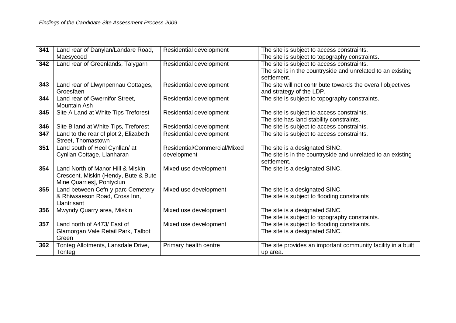| 341 | Land rear of Danylan/Landare Road,    | Residential development      | The site is subject to access constraints.                   |
|-----|---------------------------------------|------------------------------|--------------------------------------------------------------|
|     | Maesycoed                             |                              | The site is subject to topography constraints.               |
| 342 | Land rear of Greenlands, Talygarn     | Residential development      | The site is subject to access constraints.                   |
|     |                                       |                              | The site is in the countryside and unrelated to an existing  |
|     |                                       |                              | settlement.                                                  |
| 343 | Land rear of Llwynpennau Cottages,    | Residential development      | The site will not contribute towards the overall objectives  |
|     | Groesfaen                             |                              | and strategy of the LDP.                                     |
| 344 | Land rear of Gwernifor Street,        | Residential development      | The site is subject to topography constraints.               |
|     | <b>Mountain Ash</b>                   |                              |                                                              |
| 345 | Site A Land at White Tips Treforest   | Residential development      | The site is subject to access constraints.                   |
|     |                                       |                              | The site has land stability constraints.                     |
| 346 | Site B land at White Tips, Treforest  | Residential development      | The site is subject to access constraints.                   |
| 347 | Land to the rear of plot 2, Elizabeth | Residential development      | The site is subject to access constraints.                   |
|     | Street, Thomastown                    |                              |                                                              |
| 351 | Land south of Heol Cynllan/ at        | Residential/Commercial/Mixed | The site is a designated SINC.                               |
|     | Cynllan Cottage, Llanharan            | development                  | The site is in the countryside and unrelated to an existing  |
|     |                                       |                              | settlement.                                                  |
| 354 | Land North of Manor Hill & Miskin     | Mixed use development        | The site is a designated SINC.                               |
|     | Crescent, Miskin (Hendy, Bute & Bute  |                              |                                                              |
|     | Mine Quarries], Pontyclun             |                              |                                                              |
| 355 | Land between Cefn-y-parc Cemetery     | Mixed use development        | The site is a designated SINC.                               |
|     | & Rhiwsaeson Road, Cross Inn,         |                              | The site is subject to flooding constraints                  |
|     | Llantrisant                           |                              |                                                              |
| 356 | Mwyndy Quarry area, Miskin            | Mixed use development        | The site is a designated SINC.                               |
|     |                                       |                              | The site is subject to topography constraints.               |
| 357 | Land north of A473/ East of           | Mixed use development        | The site is subject to flooding constraints.                 |
|     | Glamorgan Vale Retail Park, Talbot    |                              | The site is a designated SINC.                               |
|     | Green                                 |                              |                                                              |
| 362 | Tonteg Allotments, Lansdale Drive,    | Primary health centre        | The site provides an important community facility in a built |
|     | Tonteg                                |                              | up area.                                                     |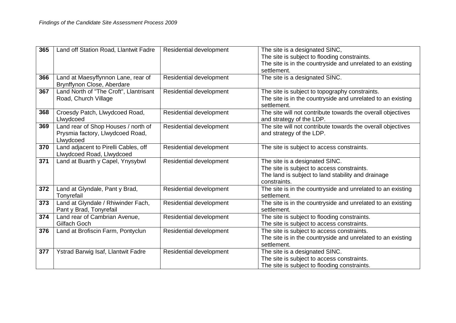| 365 | Land off Station Road, Llantwit Fadre                                                | Residential development | The site is a designated SINC,<br>The site is subject to flooding constraints.<br>The site is in the countryside and unrelated to an existing<br>settlement. |
|-----|--------------------------------------------------------------------------------------|-------------------------|--------------------------------------------------------------------------------------------------------------------------------------------------------------|
| 366 | Land at Maesyffynnon Lane, rear of<br>Brynffynon Close, Aberdare                     | Residential development | The site is a designated SINC.                                                                                                                               |
| 367 | Land North of "The Croft", Llantrisant<br>Road, Church Village                       | Residential development | The site is subject to topography constraints.<br>The site is in the countryside and unrelated to an existing<br>settlement.                                 |
| 368 | Croesdy Patch, Llwydcoed Road,<br>Llwydcoed                                          | Residential development | The site will not contribute towards the overall objectives<br>and strategy of the LDP.                                                                      |
| 369 | Land rear of Shop Houses / north of<br>Prysmia factory, Llwydcoed Road,<br>Llwydcoed | Residential development | The site will not contribute towards the overall objectives<br>and strategy of the LDP.                                                                      |
| 370 | Land adjacent to Pirelli Cables, off<br>Llwydcoed Road, Llwydcoed                    | Residential development | The site is subject to access constraints.                                                                                                                   |
| 371 | Land at Buarth y Capel, Ynysybwl                                                     | Residential development | The site is a designated SINC.<br>The site is subject to access constraints.<br>The land is subject to land stability and drainage<br>constraints.           |
| 372 | Land at Glyndale, Pant y Brad,<br>Tonyrefail                                         | Residential development | The site is in the countryside and unrelated to an existing<br>settlement.                                                                                   |
| 373 | Land at Glyndale / Rhiwinder Fach,<br>Pant y Brad, Tonyrefail                        | Residential development | The site is in the countryside and unrelated to an existing<br>settlement.                                                                                   |
| 374 | Land rear of Cambrian Avenue,<br>Gilfach Goch                                        | Residential development | The site is subject to flooding constraints.<br>The site is subject to access constraints.                                                                   |
| 376 | Land at Brofiscin Farm, Pontyclun                                                    | Residential development | The site is subject to access constraints.<br>The site is in the countryside and unrelated to an existing<br>settlement.                                     |
| 377 | Ystrad Barwig Isaf, Llantwit Fadre                                                   | Residential development | The site is a designated SINC.<br>The site is subject to access constraints.<br>The site is subject to flooding constraints.                                 |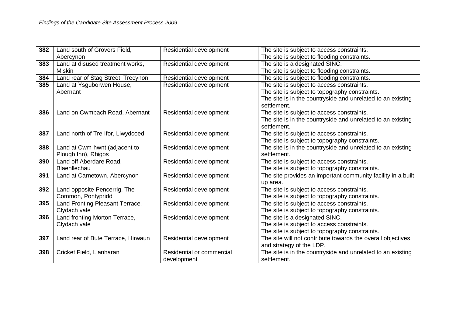| 382 | Land south of Grovers Field,       | Residential development   | The site is subject to access constraints.                   |
|-----|------------------------------------|---------------------------|--------------------------------------------------------------|
|     | Abercynon                          |                           | The site is subject to flooding constraints.                 |
| 383 | Land at disused treatment works,   | Residential development   | The site is a designated SINC.                               |
|     | <b>Miskin</b>                      |                           | The site is subject to flooding constraints.                 |
| 384 | Land rear of Stag Street, Trecynon | Residential development   | The site is subject to flooding constraints.                 |
| 385 | Land at Ysguborwen House,          | Residential development   | The site is subject to access constraints.                   |
|     | Abernant                           |                           | The site is subject to topography constraints.               |
|     |                                    |                           | The site is in the countryside and unrelated to an existing  |
|     |                                    |                           | settlement.                                                  |
| 386 | Land on Cwmbach Road, Abernant     | Residential development   | The site is subject to access constraints.                   |
|     |                                    |                           | The site is in the countryside and unrelated to an existing  |
|     |                                    |                           | settlement.                                                  |
| 387 | Land north of Tre-Ifor, Llwydcoed  | Residential development   | The site is subject to access constraints.                   |
|     |                                    |                           | The site is subject to topography constraints.               |
| 388 | Land at Cwm-hwnt (adjacent to      | Residential development   | The site is in the countryside and unrelated to an existing  |
|     | Plough Inn), Rhigos                |                           | settlement.                                                  |
| 390 | Land off Aberdare Road,            | Residential development   | The site is subject to access constraints.                   |
|     | Blaenllechau                       |                           | The site is subject to topography constraints.               |
| 391 | Land at Carnetown, Abercynon       | Residential development   | The site provides an important community facility in a built |
|     |                                    |                           | up area.                                                     |
| 392 | Land opposite Pencerrig, The       | Residential development   | The site is subject to access constraints.                   |
|     | Common, Pontypridd                 |                           | The site is subject to topography constraints.               |
| 395 | Land Fronting Pleasant Terrace,    | Residential development   | The site is subject to access constraints.                   |
|     | Clydach vale                       |                           | The site is subject to topography constraints.               |
| 396 | Land fronting Morton Terrace,      | Residential development   | The site is a designated SINC.                               |
|     | Clydach vale                       |                           | The site is subject to access constraints.                   |
|     |                                    |                           | The site is subject to topography constraints.               |
| 397 | Land rear of Bute Terrace, Hirwaun | Residential development   | The site will not contribute towards the overall objectives  |
|     |                                    |                           | and strategy of the LDP.                                     |
| 398 | Cricket Field, Llanharan           | Residential or commercial | The site is in the countryside and unrelated to an existing  |
|     |                                    | development               | settlement.                                                  |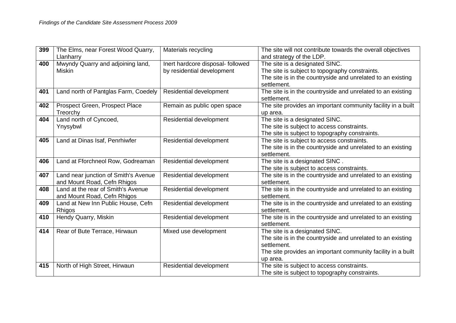| 399 | The Elms, near Forest Wood Quarry,   | Materials recycling               | The site will not contribute towards the overall objectives  |
|-----|--------------------------------------|-----------------------------------|--------------------------------------------------------------|
|     | Llanharry                            |                                   | and strategy of the LDP.                                     |
| 400 | Mwyndy Quarry and adjoining land,    | Inert hardcore disposal- followed | The site is a designated SINC.                               |
|     | <b>Miskin</b>                        | by residential development        | The site is subject to topography constraints.               |
|     |                                      |                                   | The site is in the countryside and unrelated to an existing  |
|     |                                      |                                   | settlement.                                                  |
| 401 | Land north of Pantglas Farm, Coedely | Residential development           | The site is in the countryside and unrelated to an existing  |
|     |                                      |                                   | settlement.                                                  |
| 402 | Prospect Green, Prospect Place       | Remain as public open space       | The site provides an important community facility in a built |
|     | Treorchy                             |                                   | up area.                                                     |
| 404 | Land north of Cyncoed,               | Residential development           | The site is a designated SINC.                               |
|     | Ynysybwl                             |                                   | The site is subject to access constraints.                   |
|     |                                      |                                   | The site is subject to topography constraints.               |
| 405 | Land at Dinas Isaf, Penrhiwfer       | Residential development           | The site is subject to access constraints.                   |
|     |                                      |                                   | The site is in the countryside and unrelated to an existing  |
|     |                                      |                                   | settlement.                                                  |
| 406 | Land at Fforchneol Row, Godreaman    | Residential development           | The site is a designated SINC.                               |
|     |                                      |                                   | The site is subject to access constraints.                   |
| 407 | Land near junction of Smith's Avenue | Residential development           | The site is in the countryside and unrelated to an existing  |
|     | and Mount Road, Cefn Rhigos          |                                   | settlement.                                                  |
| 408 | Land at the rear of Smith's Avenue   | Residential development           | The site is in the countryside and unrelated to an existing  |
|     | and Mount Road, Cefn Rhigos          |                                   | settlement.                                                  |
| 409 | Land at New Inn Public House, Cefn   | Residential development           | The site is in the countryside and unrelated to an existing  |
|     | Rhigos                               |                                   | settlement.                                                  |
| 410 | Hendy Quarry, Miskin                 | Residential development           | The site is in the countryside and unrelated to an existing  |
|     |                                      |                                   | settlement.                                                  |
| 414 | Rear of Bute Terrace, Hirwaun        | Mixed use development             | The site is a designated SINC.                               |
|     |                                      |                                   | The site is in the countryside and unrelated to an existing  |
|     |                                      |                                   | settlement.                                                  |
|     |                                      |                                   | The site provides an important community facility in a built |
|     |                                      |                                   | up area.                                                     |
| 415 | North of High Street, Hirwaun        | Residential development           | The site is subject to access constraints.                   |
|     |                                      |                                   | The site is subject to topography constraints.               |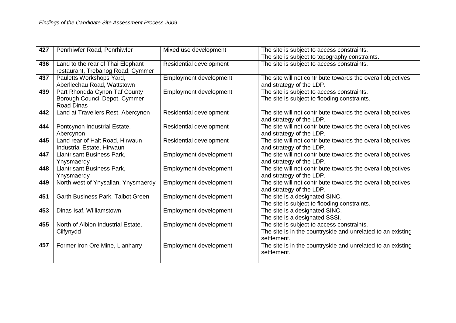| 427 | Penrhiwfer Road, Penrhiwfer                                                         | Mixed use development          | The site is subject to access constraints.                                                                               |
|-----|-------------------------------------------------------------------------------------|--------------------------------|--------------------------------------------------------------------------------------------------------------------------|
|     |                                                                                     |                                | The site is subject to topography constraints.                                                                           |
| 436 | Land to the rear of Thai Elephant<br>restaurant, Trebanog Road, Cymmer              | Residential development        | The site is subject to access constraints.                                                                               |
| 437 | Pauletts Workshops Yard,<br>Aberllechau Road, Wattstown                             | Employment development         | The site will not contribute towards the overall objectives<br>and strategy of the LDP.                                  |
| 439 | Part Rhondda Cynon Taf County<br>Borough Council Depot, Cymmer<br><b>Road Dinas</b> | <b>Employment development</b>  | The site is subject to access constraints.<br>The site is subject to flooding constraints.                               |
| 442 | Land at Travellers Rest, Abercynon                                                  | Residential development        | The site will not contribute towards the overall objectives<br>and strategy of the LDP.                                  |
| 444 | Pontcynon Industrial Estate,<br>Abercynon                                           | <b>Residential development</b> | The site will not contribute towards the overall objectives<br>and strategy of the LDP.                                  |
| 445 | Land rear of Halt Road, Hirwaun<br>Industrial Estate, Hirwaun                       | Residential development        | The site will not contribute towards the overall objectives<br>and strategy of the LDP.                                  |
| 447 | <b>Llantrisant Business Park,</b><br>Ynysmaerdy                                     | Employment development         | The site will not contribute towards the overall objectives<br>and strategy of the LDP.                                  |
| 448 | <b>Llantrisant Business Park,</b><br>Ynysmaerdy                                     | <b>Employment development</b>  | The site will not contribute towards the overall objectives<br>and strategy of the LDP.                                  |
| 449 | North west of Ynysallan, Ynysmaerdy                                                 | Employment development         | The site will not contribute towards the overall objectives<br>and strategy of the LDP.                                  |
| 451 | Garth Business Park, Talbot Green                                                   | Employment development         | The site is a designated SINC.<br>The site is subject to flooding constraints.                                           |
| 453 | Dinas Isaf, Williamstown                                                            | Employment development         | The site is a designated SINC.<br>The site is a designated SSSI.                                                         |
| 455 | North of Albion Industrial Estate,<br>Cilfynydd                                     | Employment development         | The site is subject to access constraints.<br>The site is in the countryside and unrelated to an existing<br>settlement. |
| 457 | Former Iron Ore Mine, Llanharry                                                     | <b>Employment development</b>  | The site is in the countryside and unrelated to an existing<br>settlement.                                               |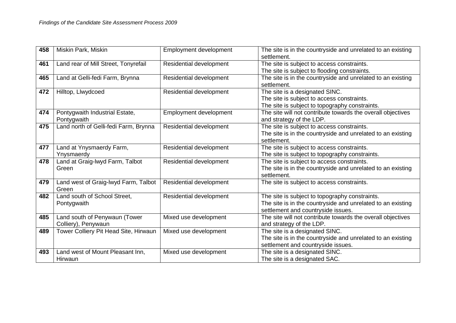| 458 | Miskin Park, Miskin                                  | Employment development  | The site is in the countryside and unrelated to an existing<br>settlement.                                                                          |
|-----|------------------------------------------------------|-------------------------|-----------------------------------------------------------------------------------------------------------------------------------------------------|
| 461 | Land rear of Mill Street, Tonyrefail                 | Residential development | The site is subject to access constraints.<br>The site is subject to flooding constraints.                                                          |
| 465 | Land at Gelli-fedi Farm, Brynna                      | Residential development | The site is in the countryside and unrelated to an existing<br>settlement.                                                                          |
| 472 | Hilltop, Llwydcoed                                   | Residential development | The site is a designated SINC.<br>The site is subject to access constraints.<br>The site is subject to topography constraints.                      |
| 474 | Pontygwaith Industrial Estate,<br>Pontygwaith        | Employment development  | The site will not contribute towards the overall objectives<br>and strategy of the LDP.                                                             |
| 475 | Land north of Gelli-fedi Farm, Brynna                | Residential development | The site is subject to access constraints.<br>The site is in the countryside and unrelated to an existing<br>settlement.                            |
| 477 | Land at Ynysmaerdy Farm,<br>Ynysmaerdy               | Residential development | The site is subject to access constraints.<br>The site is subject to topography constraints.                                                        |
| 478 | Land at Graig-lwyd Farm, Talbot<br>Green             | Residential development | The site is subject to access constraints.<br>The site is in the countryside and unrelated to an existing<br>settlement.                            |
| 479 | Land west of Graig-lwyd Farm, Talbot<br>Green        | Residential development | The site is subject to access constraints.                                                                                                          |
| 482 | Land south of School Street,<br>Pontygwaith          | Residential development | The site is subject to topography constraints.<br>The site is in the countryside and unrelated to an existing<br>settlement and countryside issues. |
| 485 | Land south of Penywaun (Tower<br>Colliery), Penywaun | Mixed use development   | The site will not contribute towards the overall objectives<br>and strategy of the LDP.                                                             |
| 489 | Tower Colliery Pit Head Site, Hirwaun                | Mixed use development   | The site is a designated SINC.<br>The site is in the countryside and unrelated to an existing<br>settlement and countryside issues.                 |
| 493 | Land west of Mount Pleasant Inn,<br>Hirwaun          | Mixed use development   | The site is a designated SINC.<br>The site is a designated SAC.                                                                                     |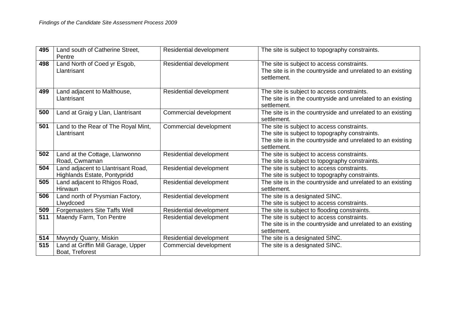| 495 | Land south of Catherine Street,<br>Pentre                          | Residential development        | The site is subject to topography constraints.                                                                                                                             |
|-----|--------------------------------------------------------------------|--------------------------------|----------------------------------------------------------------------------------------------------------------------------------------------------------------------------|
| 498 | Land North of Coed yr Esgob,<br>Llantrisant                        | Residential development        | The site is subject to access constraints.<br>The site is in the countryside and unrelated to an existing<br>settlement.                                                   |
| 499 | Land adjacent to Malthouse,<br>Llantrisant                         | Residential development        | The site is subject to access constraints.<br>The site is in the countryside and unrelated to an existing<br>settlement.                                                   |
| 500 | Land at Graig y Llan, Llantrisant                                  | Commercial development         | The site is in the countryside and unrelated to an existing<br>settlement.                                                                                                 |
| 501 | Land to the Rear of The Royal Mint,<br>Llantrisant                 | Commercial development         | The site is subject to access constraints.<br>The site is subject to topography constraints.<br>The site is in the countryside and unrelated to an existing<br>settlement. |
| 502 | Land at the Cottage, Llanwonno<br>Road, Cwmaman                    | Residential development        | The site is subject to access constraints.<br>The site is subject to topography constraints.                                                                               |
| 504 | Land adjacent to Llantrisant Road,<br>Highlands Estate, Pontypridd | Residential development        | The site is subject to access constraints.<br>The site is subject to topography constraints.                                                                               |
| 505 | Land adjacent to Rhigos Road,<br>Hirwaun                           | <b>Residential development</b> | The site is in the countryside and unrelated to an existing<br>settlement.                                                                                                 |
| 506 | Land north of Prysmian Factory,<br>Llwydcoed                       | Residential development        | The site is a designated SINC.<br>The site is subject to access constraints.                                                                                               |
| 509 | Forgemasters Site Taffs Well                                       | Residential development        | The site is subject to flooding constraints.                                                                                                                               |
| 511 | Maendy Farm, Ton Pentre                                            | Residential development        | The site is subject to access constraints.<br>The site is in the countryside and unrelated to an existing<br>settlement.                                                   |
| 514 | Mwyndy Quarry, Miskin                                              | Residential development        | The site is a designated SINC.                                                                                                                                             |
| 515 | Land at Griffin Mill Garage, Upper<br>Boat, Treforest              | Commercial development         | The site is a designated SINC.                                                                                                                                             |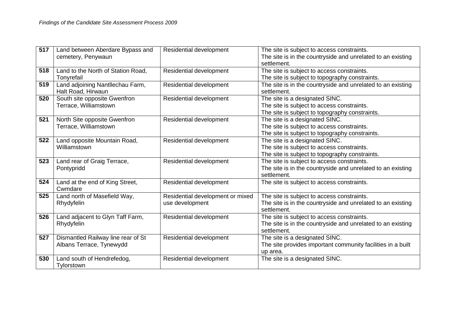| 517 | Land between Aberdare Bypass and<br>cemetery, Penywaun         | Residential development                             | The site is subject to access constraints.<br>The site is in the countryside and unrelated to an existing<br>settlement.       |
|-----|----------------------------------------------------------------|-----------------------------------------------------|--------------------------------------------------------------------------------------------------------------------------------|
| 518 | Land to the North of Station Road,<br>Tonyrefail               | Residential development                             | The site is subject to access constraints.<br>The site is subject to topography constraints.                                   |
| 519 | Land adjoining Nantllechau Farm,<br>Halt Road, Hirwaun         | Residential development                             | The site is in the countryside and unrelated to an existing<br>settlement.                                                     |
| 520 | South site opposite Gwenfron<br>Terrace, Williamstown          | Residential development                             | The site is a designated SINC.<br>The site is subject to access constraints.<br>The site is subject to topography constraints. |
| 521 | North Site opposite Gwenfron<br>Terrace, Williamstown          | Residential development                             | The site is a designated SINC.<br>The site is subject to access constraints.<br>The site is subject to topography constraints. |
| 522 | Land opposite Mountain Road,<br>Williamstown                   | Residential development                             | The site is a designated SINC.<br>The site is subject to access constraints.<br>The site is subject to topography constraints. |
| 523 | Land rear of Graig Terrace,<br>Pontypridd                      | Residential development                             | The site is subject to access constraints.<br>The site is in the countryside and unrelated to an existing<br>settlement.       |
| 524 | Land at the end of King Street,<br>Cwmdare                     | Residential development                             | The site is subject to access constraints.                                                                                     |
| 525 | Land north of Masefield Way,<br>Rhydyfelin                     | Residential development or mixed<br>use development | The site is subject to access constraints.<br>The site is in the countryside and unrelated to an existing<br>settlement.       |
| 526 | Land adjacent to Glyn Taff Farm,<br>Rhydyfelin                 | Residential development                             | The site is subject to access constraints.<br>The site is in the countryside and unrelated to an existing<br>settlement.       |
| 527 | Dismantled Railway line rear of St<br>Albans Terrace, Tynewydd | Residential development                             | The site is a designated SINC.<br>The site provides important community facilities in a built<br>up area.                      |
| 530 | Land south of Hendrefedog,<br>Tylorstown                       | Residential development                             | The site is a designated SINC.                                                                                                 |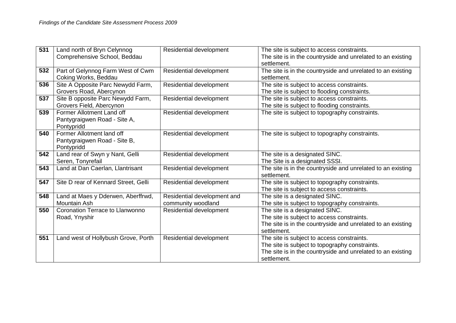| 531 | Land north of Bryn Celynnog          | Residential development     | The site is subject to access constraints.                  |
|-----|--------------------------------------|-----------------------------|-------------------------------------------------------------|
|     | Comprehensive School, Beddau         |                             | The site is in the countryside and unrelated to an existing |
|     |                                      |                             | settlement.                                                 |
| 532 | Part of Gelynnog Farm West of Cwm    | Residential development     | The site is in the countryside and unrelated to an existing |
|     | Coking Works, Beddau                 |                             | settlement.                                                 |
| 536 | Site A Opposite Parc Newydd Farm,    | Residential development     | The site is subject to access constraints.                  |
|     | Grovers Road, Abercynon              |                             | The site is subject to flooding constraints.                |
| 537 | Site B opposite Parc Newydd Farm,    | Residential development     | The site is subject to access constraints.                  |
|     | Grovers Field, Abercynon             |                             | The site is subject to flooding constraints.                |
| 539 | Former Allotment Land off            | Residential development     | The site is subject to topography constraints.              |
|     | Pantygraigwen Road - Site A,         |                             |                                                             |
|     | Pontypridd                           |                             |                                                             |
| 540 | Former Allotment land off            | Residential development     | The site is subject to topography constraints.              |
|     | Pantygraigwen Road - Site B,         |                             |                                                             |
|     | Pontypridd                           |                             |                                                             |
| 542 | Land rear of Swyn y Nant, Gelli      | Residential development     | The site is a designated SINC.                              |
|     | Seren, Tonyrefail                    |                             | The Site is a designated SSSI.                              |
| 543 | Land at Dan Caerlan, Llantrisant     | Residential development     | The site is in the countryside and unrelated to an existing |
|     |                                      |                             | settlement.                                                 |
| 547 | Site D rear of Kennard Street, Gelli | Residential development     | The site is subject to topography constraints.              |
|     |                                      |                             | The site is subject to access constraints.                  |
| 548 | Land at Maes y Dderwen, Aberffrwd,   | Residential development and | The site is a designated SINC.                              |
|     | <b>Mountain Ash</b>                  | community woodland          | The site is subject to topography constraints.              |
| 550 | Coronation Terrace to Llanwonno      | Residential development     | The site is a designated SINC.                              |
|     | Road, Ynyshir                        |                             | The site is subject to access constraints.                  |
|     |                                      |                             | The site is in the countryside and unrelated to an existing |
|     |                                      |                             | settlement.                                                 |
| 551 | Land west of Hollybush Grove, Porth  | Residential development     | The site is subject to access constraints.                  |
|     |                                      |                             | The site is subject to topography constraints.              |
|     |                                      |                             | The site is in the countryside and unrelated to an existing |
|     |                                      |                             | settlement.                                                 |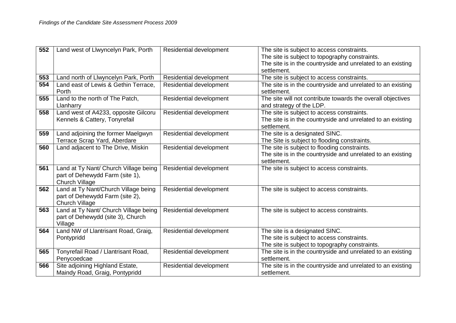| 552 | Land west of Llwyncelyn Park, Porth                      | Residential development        | The site is subject to access constraints.                                                                    |
|-----|----------------------------------------------------------|--------------------------------|---------------------------------------------------------------------------------------------------------------|
|     |                                                          |                                | The site is subject to topography constraints.<br>The site is in the countryside and unrelated to an existing |
|     |                                                          |                                | settlement.                                                                                                   |
| 553 | Land north of Llwyncelyn Park, Porth                     | Residential development        | The site is subject to access constraints.                                                                    |
| 554 | Land east of Lewis & Gethin Terrace,                     | <b>Residential development</b> | The site is in the countryside and unrelated to an existing                                                   |
|     | Porth                                                    |                                | settlement.                                                                                                   |
| 555 | Land to the north of The Patch,                          | Residential development        | The site will not contribute towards the overall objectives                                                   |
|     | Llanharry                                                |                                | and strategy of the LDP.                                                                                      |
| 558 | Land west of A4233, opposite Gilcoru                     | Residential development        | The site is subject to access constraints.                                                                    |
|     | Kennels & Cattery, Tonyrefail                            |                                | The site is in the countryside and unrelated to an existing                                                   |
|     |                                                          |                                | settlement.                                                                                                   |
| 559 | Land adjoining the former Maelgwyn                       | Residential development        | The site is a designated SINC.                                                                                |
|     | Terrace Scrap Yard, Aberdare                             |                                | The Site is subject to flooding constraints.                                                                  |
| 560 | Land adjacent to The Drive, Miskin                       | Residential development        | The site is subject to flooding constraints.                                                                  |
|     |                                                          |                                | The site is in the countryside and unrelated to an existing                                                   |
|     |                                                          |                                | settlement.                                                                                                   |
| 561 | Land at Ty Nant/ Church Village being                    | Residential development        | The site is subject to access constraints.                                                                    |
|     | part of Dehewydd Farm (site 1),                          |                                |                                                                                                               |
| 562 | <b>Church Village</b>                                    |                                |                                                                                                               |
|     | Land at Ty Nant/Church Village being                     | Residential development        | The site is subject to access constraints.                                                                    |
|     | part of Dehewydd Farm (site 2),<br><b>Church Village</b> |                                |                                                                                                               |
| 563 | Land at Ty Nant/ Church Village being                    | Residential development        | The site is subject to access constraints.                                                                    |
|     | part of Dehewydd (site 3), Church                        |                                |                                                                                                               |
|     | Village                                                  |                                |                                                                                                               |
| 564 | Land NW of Llantrisant Road, Graig,                      | Residential development        | The site is a designated SINC.                                                                                |
|     | Pontypridd                                               |                                | The site is subject to access constraints.                                                                    |
|     |                                                          |                                | The site is subject to topography constraints.                                                                |
| 565 | Tonyrefail Road / Llantrisant Road,                      | Residential development        | The site is in the countryside and unrelated to an existing                                                   |
|     | Penycoedcae                                              |                                | settlement.                                                                                                   |
| 566 | Site adjoining Highland Estate,                          | Residential development        | The site is in the countryside and unrelated to an existing                                                   |
|     | Maindy Road, Graig, Pontypridd                           |                                | settlement.                                                                                                   |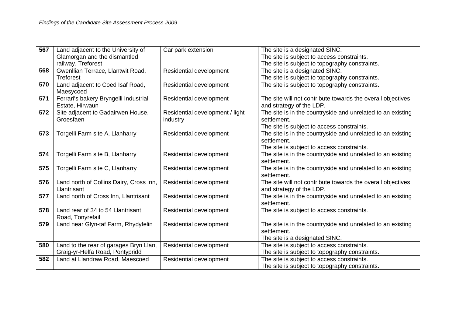| 567 | Land adjacent to the University of                                        | Car park extension                          | The site is a designated SINC.                                                                                           |
|-----|---------------------------------------------------------------------------|---------------------------------------------|--------------------------------------------------------------------------------------------------------------------------|
|     | Glamorgan and the dismantled                                              |                                             | The site is subject to access constraints.                                                                               |
|     | railway, Treforest                                                        |                                             | The site is subject to topography constraints.                                                                           |
| 568 | Gwenllian Terrace, Llantwit Road,                                         | Residential development                     | The site is a designated SINC.                                                                                           |
|     | <b>Treforest</b>                                                          |                                             | The site is subject to topography constraints.                                                                           |
| 570 | Land adjacent to Coed Isaf Road,<br>Maesycoed                             | Residential development                     | The site is subject to topography constraints.                                                                           |
| 571 | Ferrari's bakery Bryngelli Industrial<br>Estate, Hirwaun                  | Residential development                     | The site will not contribute towards the overall objectives<br>and strategy of the LDP.                                  |
| 572 | Site adjacent to Gadairwen House,<br>Groesfaen                            | Residential development / light<br>industry | The site is in the countryside and unrelated to an existing<br>settlement.<br>The site is subject to access constraints. |
| 573 | Torgelli Farm site A, Llanharry                                           | Residential development                     | The site is in the countryside and unrelated to an existing<br>settlement.<br>The site is subject to access constraints. |
| 574 | Torgelli Farm site B, Llanharry                                           | Residential development                     | The site is in the countryside and unrelated to an existing<br>settlement.                                               |
| 575 | Torgelli Farm site C, Llanharry                                           | Residential development                     | The site is in the countryside and unrelated to an existing<br>settlement.                                               |
| 576 | Land north of Collins Dairy, Cross Inn,<br>Llantrisant                    | Residential development                     | The site will not contribute towards the overall objectives<br>and strategy of the LDP.                                  |
| 577 | Land north of Cross Inn, Llantrisant                                      | Residential development                     | The site is in the countryside and unrelated to an existing<br>settlement.                                               |
| 578 | Land rear of 34 to 54 Llantrisant<br>Road, Tonyrefail                     | Residential development                     | The site is subject to access constraints.                                                                               |
| 579 | Land near Glyn-taf Farm, Rhydyfelin                                       | Residential development                     | The site is in the countryside and unrelated to an existing<br>settlement.<br>The site is a designated SINC.             |
| 580 | Land to the rear of garages Bryn Llan,<br>Graig-yr-Helfa Road, Pontypridd | Residential development                     | The site is subject to access constraints.<br>The site is subject to topography constraints.                             |
| 582 | Land at Llandraw Road, Maescoed                                           | Residential development                     | The site is subject to access constraints.<br>The site is subject to topography constraints.                             |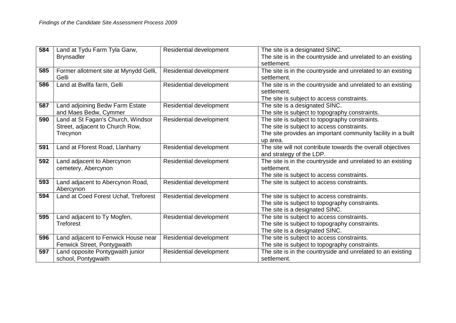| 584 | Land at Tydu Farm Tyla Garw,           | <b>Residential development</b> | The site is a designated SINC.                               |
|-----|----------------------------------------|--------------------------------|--------------------------------------------------------------|
|     | <b>Brynsadler</b>                      |                                | The site is in the countryside and unrelated to an existing  |
|     |                                        |                                | settlement.                                                  |
| 585 | Former allotment site at Mynydd Gelli, | Residential development        | The site is in the countryside and unrelated to an existing  |
|     | Gelli                                  |                                | settlement.                                                  |
| 586 | Land at Bwllfa farm, Gelli             | Residential development        | The site is in the countryside and unrelated to an existing  |
|     |                                        |                                | settlement.                                                  |
|     |                                        |                                | The site is subject to access constraints.                   |
| 587 | Land adjoining Bedw Farm Estate        | Residential development        | The site is a designated SINC.                               |
|     | and Maes Bedw, Cymmer                  |                                | The site is subject to topography constraints.               |
| 590 | Land at St Fagan's Church, Windsor     | Residential development        | The site is subject to topography constraints.               |
|     | Street, adjacent to Church Row,        |                                | The site is subject to access constraints.                   |
|     | Trecynon                               |                                | The site provides an important community facility in a built |
|     |                                        |                                | up area.                                                     |
| 591 | Land at Fforest Road, Llanharry        | Residential development        | The site will not contribute towards the overall objectives  |
|     |                                        |                                | and strategy of the LDP.                                     |
| 592 | Land adjacent to Abercynon             | Residential development        | The site is in the countryside and unrelated to an existing  |
|     | cemetery, Abercynon                    |                                | settlement.                                                  |
|     |                                        |                                | The site is subject to access constraints.                   |
| 593 | Land adjacent to Abercynon Road,       | Residential development        | The site is subject to access constraints.                   |
|     | Abercynon                              |                                |                                                              |
| 594 | Land at Coed Forest Uchaf, Treforest   | Residential development        | The site is subject to access constraints.                   |
|     |                                        |                                | The site is subject to topography constraints.               |
|     |                                        |                                | The site is a designated SINC.                               |
| 595 | Land adjacent to Ty Mogfen,            | Residential development        | The site is subject to access constraints.                   |
|     | <b>Treforest</b>                       |                                | The site is subject to topography constraints.               |
|     |                                        |                                | The site is a designated SINC.                               |
| 596 | Land adjacent to Fenwick House near    | Residential development        | The site is subject to access constraints.                   |
|     | Fenwick Street, Pontygwaith            |                                | The site is subject to topography constraints.               |
| 597 | Land opposite Pontygwaith junior       | Residential development        | The site is in the countryside and unrelated to an existing  |
|     | school, Pontygwaith                    |                                | settlement.                                                  |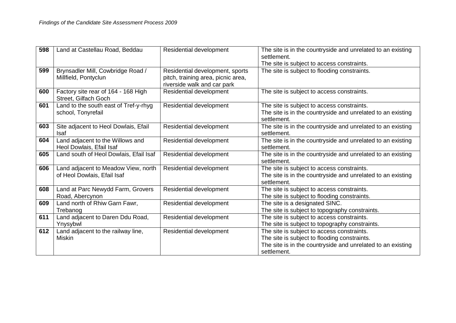| 598 | Land at Castellau Road, Beddau         | Residential development            | The site is in the countryside and unrelated to an existing                                |
|-----|----------------------------------------|------------------------------------|--------------------------------------------------------------------------------------------|
|     |                                        |                                    | settlement.                                                                                |
| 599 | Brynsadler Mill, Cowbridge Road /      | Residential development, sports    | The site is subject to access constraints.<br>The site is subject to flooding constraints. |
|     | Millfield, Pontyclun                   | pitch, training area, picnic area, |                                                                                            |
|     |                                        | riverside walk and car park        |                                                                                            |
| 600 | Factory site rear of 164 - 168 High    | Residential development            | The site is subject to access constraints.                                                 |
|     | Street, Gilfach Goch                   |                                    |                                                                                            |
| 601 | Land to the south east of Tref-y-rhyg  | Residential development            | The site is subject to access constraints.                                                 |
|     | school, Tonyrefail                     |                                    | The site is in the countryside and unrelated to an existing                                |
|     |                                        |                                    | settlement.                                                                                |
| 603 | Site adjacent to Heol Dowlais, Efail   | Residential development            | The site is in the countryside and unrelated to an existing                                |
|     | <b>Isaf</b>                            |                                    | settlement.                                                                                |
| 604 | Land adjacent to the Willows and       | Residential development            | The site is in the countryside and unrelated to an existing                                |
|     | Heol Dowlais, Efail Isaf               |                                    | settlement.                                                                                |
| 605 | Land south of Heol Dowlais, Efail Isaf | Residential development            | The site is in the countryside and unrelated to an existing                                |
|     |                                        |                                    | settlement.                                                                                |
| 606 | Land adjacent to Meadow View, north    | Residential development            | The site is subject to access constraints.                                                 |
|     | of Heol Dowlais, Efail Isaf            |                                    | The site is in the countryside and unrelated to an existing                                |
|     |                                        |                                    | settlement.                                                                                |
| 608 | Land at Parc Newydd Farm, Grovers      | Residential development            | The site is subject to access constraints.                                                 |
|     | Road, Abercynon                        |                                    | The site is subject to flooding constraints.                                               |
| 609 | Land north of Rhiw Garn Fawr,          | Residential development            | The site is a designated SINC.                                                             |
|     | Trebanog                               |                                    | The site is subject to topography constraints.                                             |
| 611 | Land adjacent to Daren Ddu Road,       | Residential development            | The site is subject to access constraints.                                                 |
|     | Ynysybwl                               |                                    | The site is subject to topography constraints.                                             |
| 612 | Land adjacent to the railway line,     | Residential development            | The site is subject to access constraints.                                                 |
|     | <b>Miskin</b>                          |                                    | The site is subject to flooding constraints.                                               |
|     |                                        |                                    | The site is in the countryside and unrelated to an existing                                |
|     |                                        |                                    | settlement.                                                                                |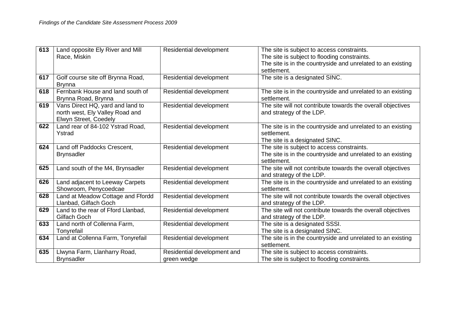| 613 | Land opposite Ely River and Mill<br>Race, Miskin                                             | Residential development                    | The site is subject to access constraints.<br>The site is subject to flooding constraints.                               |
|-----|----------------------------------------------------------------------------------------------|--------------------------------------------|--------------------------------------------------------------------------------------------------------------------------|
|     |                                                                                              |                                            | The site is in the countryside and unrelated to an existing<br>settlement.                                               |
| 617 | Golf course site off Brynna Road,<br><b>Brynna</b>                                           | Residential development                    | The site is a designated SINC.                                                                                           |
| 618 | Fernbank House and land south of<br>Brynna Road, Brynna                                      | Residential development                    | The site is in the countryside and unrelated to an existing<br>settlement.                                               |
| 619 | Vans Direct HQ, yard and land to<br>north west, Ely Valley Road and<br>Elwyn Street, Coedely | Residential development                    | The site will not contribute towards the overall objectives<br>and strategy of the LDP.                                  |
| 622 | Land rear of 84-102 Ystrad Road,<br>Ystrad                                                   | Residential development                    | The site is in the countryside and unrelated to an existing<br>settlement.<br>The site is a designated SINC.             |
| 624 | Land off Paddocks Crescent,<br><b>Brynsadler</b>                                             | Residential development                    | The site is subject to access constraints.<br>The site is in the countryside and unrelated to an existing<br>settlement. |
| 625 | Land south of the M4, Brynsadler                                                             | Residential development                    | The site will not contribute towards the overall objectives<br>and strategy of the LDP.                                  |
| 626 | Land adjacent to Leeway Carpets<br>Showroom, Penycoedcae                                     | Residential development                    | The site is in the countryside and unrelated to an existing<br>settlement.                                               |
| 628 | Land at Meadow Cottage and Ffordd<br>Llanbad, Gilfach Goch                                   | Residential development                    | The site will not contribute towards the overall objectives<br>and strategy of the LDP.                                  |
| 629 | Land to the rear of Fford Llanbad,<br>Gilfach Goch                                           | Residential development                    | The site will not contribute towards the overall objectives<br>and strategy of the LDP.                                  |
| 633 | Land north of Collenna Farm,<br>Tonyrefail                                                   | Residential development                    | The site is a designated SSSI.<br>The site is a designated SINC.                                                         |
| 634 | Land at Collenna Farm, Tonyrefail                                                            | Residential development                    | The site is in the countryside and unrelated to an existing<br>settlement.                                               |
| 635 | Llwyna Farm, Llanharry Road,<br><b>Brynsadler</b>                                            | Residential development and<br>green wedge | The site is subject to access constraints.<br>The site is subject to flooding constraints.                               |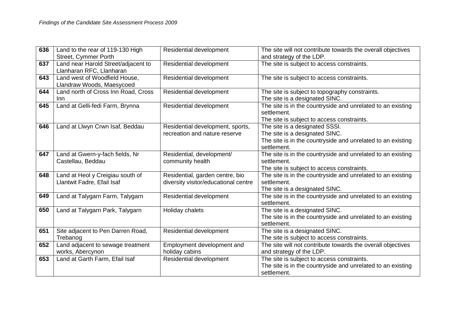| 636 | Land to the rear of 119-130 High    | Residential development              | The site will not contribute towards the overall objectives |
|-----|-------------------------------------|--------------------------------------|-------------------------------------------------------------|
|     | Street, Cymmer Porth                |                                      | and strategy of the LDP.                                    |
| 637 | Land near Harold Street/adjacent to | Residential development              | The site is subject to access constraints.                  |
|     | Llanharan RFC, Llanharan            |                                      |                                                             |
| 643 | Land west of Woodfield House,       | Residential development              | The site is subject to access constraints.                  |
|     | Llandraw Woods, Maesycoed           |                                      |                                                             |
| 644 | Land north of Cross Inn Road, Cross | Residential development              | The site is subject to topography constraints.              |
|     | <b>Inn</b>                          |                                      | The site is a designated SINC.                              |
| 645 | Land at Gelli-fedi Farm, Brynna     | Residential development              | The site is in the countryside and unrelated to an existing |
|     |                                     |                                      | settlement.                                                 |
|     |                                     |                                      | The site is subject to access constraints.                  |
| 646 | Land at Llwyn Crwn Isaf, Beddau     | Residential development, sports,     | The site is a designated SSSI.                              |
|     |                                     | recreation and nature reserve        | The site is a designated SINC.                              |
|     |                                     |                                      | The site is in the countryside and unrelated to an existing |
|     |                                     |                                      | settlement.                                                 |
| 647 | Land at Gwern-y-fach fields, Nr     | Residential, development/            | The site is in the countryside and unrelated to an existing |
|     | Castellau, Beddau                   | community health                     | settlement.                                                 |
|     |                                     |                                      | The site is subject to access constraints.                  |
| 648 | Land at Heol y Creigiau south of    | Residential, garden centre, bio      | The site is in the countryside and unrelated to an existing |
|     | Llantwit Fadre, Efail Isaf          | diversity visitor/educational centre | settlement.                                                 |
|     |                                     |                                      | The site is a designated SINC.                              |
| 649 | Land at Talygarn Farm, Talygarn     | Residential development              | The site is in the countryside and unrelated to an existing |
|     |                                     |                                      | settlement.                                                 |
| 650 | Land at Talygarn Park, Talygarn     | Holiday chalets                      | The site is a designated SINC.                              |
|     |                                     |                                      | The site is in the countryside and unrelated to an existing |
|     |                                     |                                      | settlement.                                                 |
| 651 | Site adjacent to Pen Darren Road,   | Residential development              | The site is a designated SINC.                              |
|     | Trebanog                            |                                      | The site is subject to access constraints.                  |
| 652 | Land adjacent to sewage treatment   | Employment development and           | The site will not contribute towards the overall objectives |
|     | works, Abercynon                    | holiday cabins                       | and strategy of the LDP.                                    |
| 653 | Land at Garth Farm, Efail Isaf      | Residential development              | The site is subject to access constraints.                  |
|     |                                     |                                      | The site is in the countryside and unrelated to an existing |
|     |                                     |                                      | settlement.                                                 |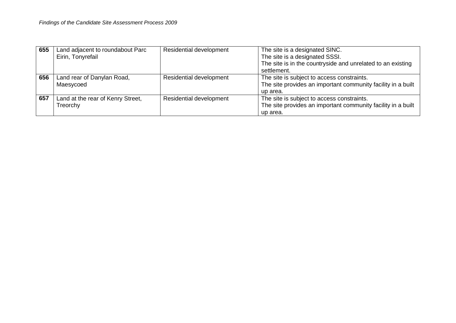| 655 | Land adjacent to roundabout Parc  | Residential development | The site is a designated SINC.                               |
|-----|-----------------------------------|-------------------------|--------------------------------------------------------------|
|     | Eirin, Tonyrefail                 |                         | The site is a designated SSSI.                               |
|     |                                   |                         | The site is in the countryside and unrelated to an existing  |
|     |                                   |                         | settlement.                                                  |
| 656 | Land rear of Danylan Road,        | Residential development | The site is subject to access constraints.                   |
|     | Maesycoed                         |                         | The site provides an important community facility in a built |
|     |                                   |                         | up area.                                                     |
| 657 | Land at the rear of Kenry Street, | Residential development | The site is subject to access constraints.                   |
|     | Treorchy                          |                         | The site provides an important community facility in a built |
|     |                                   |                         | up area.                                                     |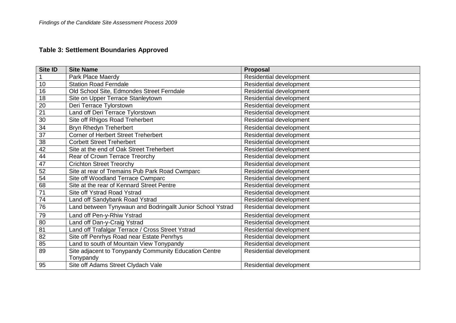# **Table 3: Settlement Boundaries Approved**

| Site ID         | <b>Site Name</b>                                           | Proposal                       |
|-----------------|------------------------------------------------------------|--------------------------------|
|                 | Park Place Maerdy                                          | Residential development        |
| 10              | <b>Station Road Ferndale</b>                               | Residential development        |
| 16              | Old School Site, Edmondes Street Ferndale                  | Residential development        |
| 18              | Site on Upper Terrace Stanleytown                          | Residential development        |
| $\overline{20}$ | Deri Terrace Tylorstown                                    | Residential development        |
| $\overline{21}$ | Land off Deri Terrace Tylorstown                           | Residential development        |
| 30              | Site off Rhigos Road Treherbert                            | <b>Residential development</b> |
| 34              | Bryn Rhedyn Treherbert                                     | Residential development        |
| 37              | <b>Corner of Herbert Street Treherbert</b>                 | Residential development        |
| 38              | <b>Corbett Street Treherbert</b>                           | Residential development        |
| $\overline{42}$ | Site at the end of Oak Street Treherbert                   | Residential development        |
| 44              | Rear of Crown Terrace Treorchy                             | Residential development        |
| 47              | <b>Crichton Street Treorchy</b>                            | Residential development        |
| 52              | Site at rear of Tremains Pub Park Road Cwmparc             | Residential development        |
| 54              | Site off Woodland Terrace Cwmparc                          | Residential development        |
| 68              | Site at the rear of Kennard Street Pentre                  | Residential development        |
| $\overline{71}$ | Site off Ystrad Road Ystrad                                | Residential development        |
| $\overline{74}$ | Land off Sandybank Road Ystrad                             | Residential development        |
| 76              | Land between Tynywaun and Bodringallt Junior School Ystrad | Residential development        |
| 79              | Land off Pen-y-Rhiw Ystrad                                 | Residential development        |
| 80              | Land off Dan-y-Craig Ystrad                                | Residential development        |
| $\overline{81}$ | Land off Trafalgar Terrace / Cross Street Ystrad           | Residential development        |
| 82              | Site off Penrhys Road near Estate Penrhys                  | Residential development        |
| 85              | Land to south of Mountain View Tonypandy                   | Residential development        |
| 89              | Site adjacent to Tonypandy Community Education Centre      | Residential development        |
|                 | Tonypandy                                                  |                                |
| 95              | Site off Adams Street Clydach Vale                         | <b>Residential development</b> |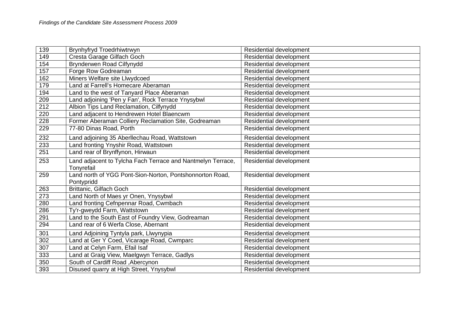| 139 | Brynhyfryd Troedrhiwtrwyn                                                 | Residential development        |
|-----|---------------------------------------------------------------------------|--------------------------------|
| 149 | Cresta Garage Gilfach Goch                                                | Residential development        |
| 154 | Brynderwen Road Cilfynydd                                                 | <b>Residential development</b> |
| 157 | Forge Row Godreaman                                                       | Residential development        |
| 162 | Miners Welfare site Llwydcoed                                             | <b>Residential development</b> |
| 179 | Land at Farrell's Homecare Aberaman                                       | Residential development        |
| 194 | Land to the west of Tanyard Place Aberaman                                | Residential development        |
| 209 | Land adjoining 'Pen y Fan', Rock Terrace Ynysybwl                         | Residential development        |
| 212 | Albion Tips Land Reclamation, Cilfynydd                                   | Residential development        |
| 220 | Land adjacent to Hendrewen Hotel Blaencwm                                 | Residential development        |
| 228 | Former Aberaman Colliery Reclamation Site, Godreaman                      | <b>Residential development</b> |
| 229 | 77-80 Dinas Road, Porth                                                   | Residential development        |
| 232 | Land adjoining 35 Aberllechau Road, Wattstown                             | Residential development        |
| 233 | Land fronting Ynyshir Road, Wattstown                                     | Residential development        |
| 251 | Land rear of Brynffynon, Hirwaun                                          | Residential development        |
| 253 | Land adjacent to Tylcha Fach Terrace and Nantmelyn Terrace,<br>Tonyrefail | Residential development        |
| 259 | Land north of YGG Pont-Sion-Norton, Pontshonnorton Road,<br>Pontypridd    | Residential development        |
| 263 | Brittanic, Gilfach Goch                                                   | Residential development        |
| 273 | Land North of Maes yr Onen, Ynysybwl                                      | Residential development        |
| 280 | Land fronting Cefnpennar Road, Cwmbach                                    | Residential development        |
| 286 | Ty'r-gweydd Farm, Wattstown                                               | Residential development        |
| 291 | Land to the South East of Foundry View, Godreaman                         | Residential development        |
| 294 | Land rear of 6 Werfa Close, Abernant                                      | Residential development        |
| 301 | Land Adjoining Tyntyla park, Llwynypia                                    | Residential development        |
| 302 | Land at Ger Y Coed, Vicarage Road, Cwmparc                                | Residential development        |
| 307 | Land at Celyn Farm, Efail Isaf                                            | Residential development        |
| 333 | Land at Graig View, Maelgwyn Terrace, Gadlys                              | Residential development        |
| 350 | South of Cardiff Road, Abercynon                                          | Residential development        |
| 393 | Disused quarry at High Street, Ynysybwl                                   | Residential development        |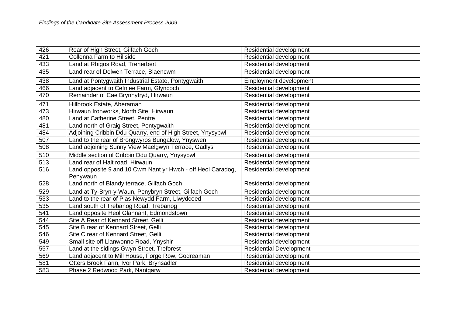| 426 | Rear of High Street, Gilfach Goch                                       | Residential development        |
|-----|-------------------------------------------------------------------------|--------------------------------|
| 421 | Collenna Farm to Hillside                                               | Residential development        |
| 433 | Land at Rhigos Road, Treherbert                                         | Residential development        |
| 435 | Land rear of Delwen Terrace, Blaencwm                                   | Residential development        |
| 438 | Land at Pontygwaith Industrial Estate, Pontygwaith                      | Employment development         |
| 466 | Land adjacent to Cefnlee Farm, Glyncoch                                 | Residential development        |
| 470 | Remainder of Cae Brynhyfryd, Hirwaun                                    | Residential development        |
| 471 | Hillbrook Estate, Aberaman                                              | Residential development        |
| 473 | Hirwaun Ironworks, North Site, Hirwaun                                  | Residential development        |
| 480 | Land at Catherine Street, Pentre                                        | Residential development        |
| 481 | Land north of Graig Street, Pontygwaith                                 | Residential development        |
| 484 | Adjoining Cribbin Ddu Quarry, end of High Street, Ynysybwl              | Residential development        |
| 507 | Land to the rear of Brongwyros Bungalow, Ynyswen                        | Residential development        |
| 508 | Land adjoining Sunny View Maelgwyn Terrace, Gadlys                      | Residential development        |
| 510 | Middle section of Cribbin Ddu Quarry, Ynysybwl                          | Residential development        |
| 513 | Land rear of Halt road, Hirwaun                                         | Residential development        |
| 516 | Land opposite 9 and 10 Cwm Nant yr Hwch - off Heol Caradog,<br>Penywaun | Residential development        |
| 528 | Land north of Blandy terrace, Gilfach Goch                              | Residential development        |
| 529 | Land at Ty-Bryn-y-Waun, Penybryn Street, Gilfach Goch                   | Residential development        |
| 533 | Land to the rear of Plas Newydd Farm, Llwydcoed                         | Residential development        |
| 535 | Land south of Trebanog Road, Trebanog                                   | Residential development        |
| 541 | Land opposite Heol Glannant, Edmondstown                                | Residential development        |
| 544 | Site A Rear of Kennard Street, Gelli                                    | Residential development        |
| 545 | Site B rear of Kennard Street, Gelli                                    | Residential development        |
| 546 | Site C rear of Kennard Street, Gelli                                    | Residential development        |
| 549 | Small site off Llanwonno Road, Ynyshir                                  | Residential development        |
| 557 | Land at the sidings Gwyn Street, Treforest                              | <b>Residential Development</b> |
| 569 | Land adjacent to Mill House, Forge Row, Godreaman                       | Residential development        |
| 581 | Otters Brook Farm, Ivor Park, Brynsadler                                | Residential development        |
| 583 | Phase 2 Redwood Park, Nantgarw                                          | Residential development        |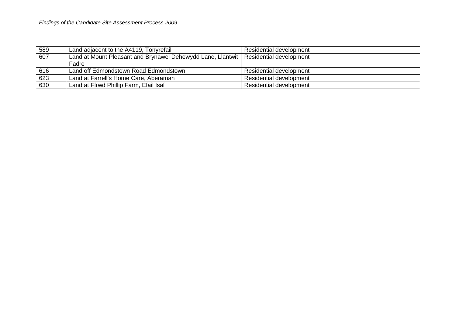| 589 | Land adjacent to the A4119, Tonyrefail                                                | Residential development        |
|-----|---------------------------------------------------------------------------------------|--------------------------------|
| 607 | Land at Mount Pleasant and Brynawel Dehewydd Lane, Llantwit   Residential development |                                |
|     | Fadre                                                                                 |                                |
| 616 | Land off Edmondstown Road Edmondstown                                                 | Residential development        |
| 623 | Land at Farrell's Home Care, Aberaman                                                 | <b>Residential development</b> |
| 630 | Land at Ffrwd Phillip Farm, Efail Isaf                                                | <b>Residential development</b> |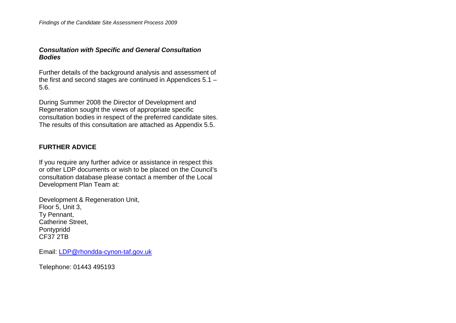## *Consultation with Specific and General Consultation Bodies*

Further details of the background analysis and assessment of the first and second stages are continued in Appendices 5.1 – 5.6.

During Summer 2008 the Director of Development and Regeneration sought the views of appropriate specific consultation bodies in respect of the preferred candidate sites. The results of this consultation are attached as Appendix 5.5.

## **FURTHER ADVICE**

If you require any further advice or assistance in respect this or other LDP documents or wish to be placed on the Council's consultation database please contact a member of the Local Development Plan Team at:

Development & Regeneration Unit, Floor 5, Unit 3, Ty Pennant, Catherine Street, Pontypridd CF37 2TB

Email: LDP@rhondda-cynon-taf.gov.uk

Telephone: 01443 495193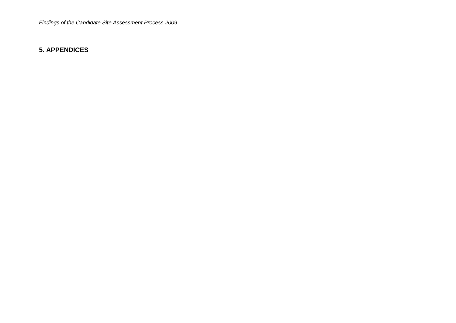## **5. APPENDICES**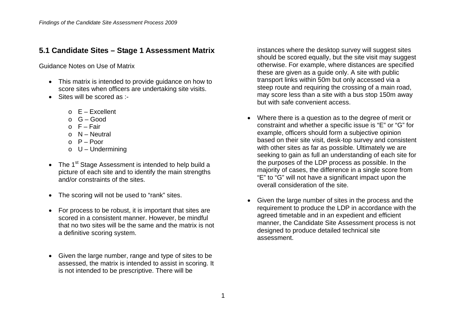## **5.1 Candidate Sites – Stage 1 Assessment Matrix**

Guidance Notes on Use of Matrix

- This matrix is intended to provide quidance on how to score sites when officers are undertaking site visits.
- Sites will be scored as :-
	- $\circ$  E Excellent
	- $O_G G$ ood
	- $\circ$  F Fair
	- $\circ$  N Neutral
	- $P -$  Poor
	- $O$  U Undermining
- The  $1<sup>st</sup>$  Stage Assessment is intended to help build a picture of each site and to identify the main strengths and/or constraints of the sites.
- The scoring will not be used to "rank" sites.
- For process to be robust, it is important that sites are scored in a consistent manner. However, be mindful that no two sites will be the same and the matrix is not a definitive scoring system.
- Given the large number, range and type of sites to be assessed, the matrix is intended to assist in scoring. It is not intended to be prescriptive. There will be

instances where the desktop survey will suggest sites should be scored equally, but the site visit may suggest otherwise. For example, where distances are specified these are given as a guide only. A site with public transport links within 50m but only accessed via a steep route and requiring the crossing of a main road, may score less than a site with a bus stop 150m away but with safe convenient access.

- Where there is a question as to the degree of merit or constraint and whether a specific issue is "E" or "G" for example, officers should form a subjective opinion based on their site visit, desk-top survey and consistent with other sites as far as possible. Ultimately we are seeking to gain as full an understanding of each site for the purposes of the LDP process as possible. In the majority of cases, the difference in a single score from "E" to "G" will not have a significant impact upon the overall consideration of the site.
- Given the large number of sites in the process and the requirement to produce the LDP in accordance with the agreed timetable and in an expedient and efficient manner, the Candidate Site Assessment process is not designed to produce detailed technical site assessment.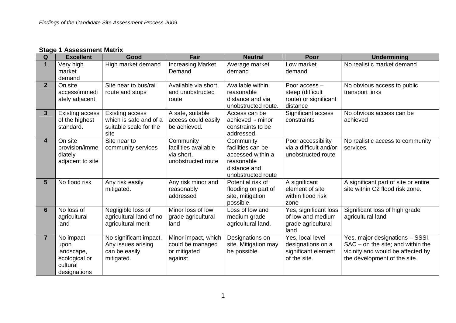## **Stage 1 Assessment Matrix**

| Q              | <b>Excellent</b>       | Good                    | <b>Fair</b>              | <b>Neutral</b>             | Poor                   | <b>Undermining</b>                   |
|----------------|------------------------|-------------------------|--------------------------|----------------------------|------------------------|--------------------------------------|
| $\mathbf 1$    | Very high              | High market demand      | <b>Increasing Market</b> | Average market             | Low market             | No realistic market demand           |
|                | market                 |                         | Demand                   | demand                     | demand                 |                                      |
|                | demand                 |                         |                          |                            |                        |                                      |
| 2 <sup>1</sup> | On site                | Site near to bus/rail   | Available via short      | Available within           | Poor access -          | No obvious access to public          |
|                | access/immedi          | route and stops         | and unobstructed         | reasonable                 | steep (difficult       | transport links                      |
|                | ately adjacent         |                         | route                    | distance and via           | route) or significant  |                                      |
|                |                        |                         |                          | unobstructed route.        | distance               |                                      |
| 3 <sup>5</sup> | <b>Existing access</b> | Existing access         | A safe, suitable         | Access can be              | Significant access     | No obvious access can be             |
|                | of the highest         | which is safe and of a  | access could easily      | achieved - minor           | constraints            | achieved                             |
|                | standard.              | suitable scale for the  | be achieved.             | constraints to be          |                        |                                      |
|                |                        | site                    |                          | addressed.                 |                        |                                      |
| 4              | On site                | Site near to            | Community                | Community                  | Poor accessibility     | No realistic access to community     |
|                | provision/imme         | community services      | facilities available     | facilities can be          | via a difficult and/or | services.                            |
|                | diately                |                         | via short,               | accessed within a          | unobstructed route     |                                      |
|                | adjacent to site       |                         | unobstructed route       | reasonable<br>distance and |                        |                                      |
|                |                        |                         |                          | unobstructed route         |                        |                                      |
| 5              | No flood risk          | Any risk easily         | Any risk minor and       | Potential risk of          | A significant          | A significant part of site or entire |
|                |                        | mitigated.              | reasonably               | flooding on part of        | element of site        | site within C2 flood risk zone.      |
|                |                        |                         | addressed                | site, mitigation           | within flood risk      |                                      |
|                |                        |                         |                          | possible.                  | zone                   |                                      |
| 6              | No loss of             | Negligible loss of      | Minor loss of low        | Loss of low and            | Yes, significant loss  | Significant loss of high grade       |
|                | agricultural           | agricultural land of no | grade agricultural       | medium grade               | of low and medium      | agricultural land                    |
|                | land                   | agricultural merit      | land                     | agricultural land.         | grade agricultural     |                                      |
|                |                        |                         |                          |                            | land                   |                                      |
| $\overline{7}$ | No impact              | No significant impact.  | Minor impact, which      | Designations on            | Yes, local level       | Yes, major designations - SSSI,      |
|                | upon                   | Any issues arising      | could be managed         | site. Mitigation may       | designations on a      | $SAC$ – on the site; and within the  |
|                | landscape,             | can be easily           | or mitigated             | be possible.               | significant element    | vicinity and would be affected by    |
|                | ecological or          | mitigated.              | against.                 |                            | of the site.           | the development of the site.         |
|                | cultural               |                         |                          |                            |                        |                                      |
|                | designations           |                         |                          |                            |                        |                                      |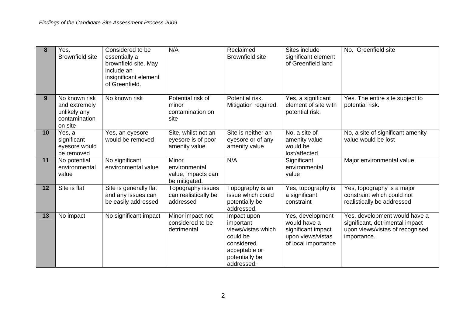| 8               | Yes.<br><b>Brownfield site</b>                                             | Considered to be<br>essentially a<br>brownfield site. May<br>include an<br>insignificant element<br>of Greenfield. | N/A                                                           | Reclaimed<br><b>Brownfield site</b>                                                                                       | Sites include<br>significant element<br>of Greenfield land                                         | No. Greenfield site                                                                                                |
|-----------------|----------------------------------------------------------------------------|--------------------------------------------------------------------------------------------------------------------|---------------------------------------------------------------|---------------------------------------------------------------------------------------------------------------------------|----------------------------------------------------------------------------------------------------|--------------------------------------------------------------------------------------------------------------------|
| 9               | No known risk<br>and extremely<br>unlikely any<br>contamination<br>on site | No known risk                                                                                                      | Potential risk of<br>minor<br>contamination on<br>site        | Potential risk.<br>Mitigation required.                                                                                   | Yes, a significant<br>element of site with<br>potential risk.                                      | Yes. The entire site subject to<br>potential risk.                                                                 |
| 10 <sup>°</sup> | Yes, a<br>significant<br>eyesore would<br>be removed                       | Yes, an eyesore<br>would be removed                                                                                | Site, whilst not an<br>eyesore is of poor<br>amenity value.   | Site is neither an<br>eyesore or of any<br>amenity value                                                                  | No, a site of<br>amenity value<br>would be<br>lost/affected                                        | No, a site of significant amenity<br>value would be lost                                                           |
| 11              | No potential<br>environmental<br>value                                     | No significant<br>environmental value                                                                              | Minor<br>environmental<br>value, impacts can<br>be mitigated. | N/A                                                                                                                       | Significant<br>environmental<br>value                                                              | Major environmental value                                                                                          |
| 12              | Site is flat                                                               | Site is generally flat<br>and any issues can<br>be easily addressed                                                | Topography issues<br>can realistically be<br>addressed        | Topography is an<br>issue which could<br>potentially be<br>addressed.                                                     | Yes, topography is<br>a significant<br>constraint                                                  | Yes, topography is a major<br>constraint which could not<br>realistically be addressed                             |
| 13              | No impact                                                                  | No significant impact                                                                                              | Minor impact not<br>considered to be<br>detrimental           | Impact upon<br>important<br>views/vistas which<br>could be<br>considered<br>acceptable or<br>potentially be<br>addressed. | Yes, development<br>would have a<br>significant impact<br>upon views/vistas<br>of local importance | Yes, development would have a<br>significant, detrimental impact<br>upon views/vistas of recognised<br>importance. |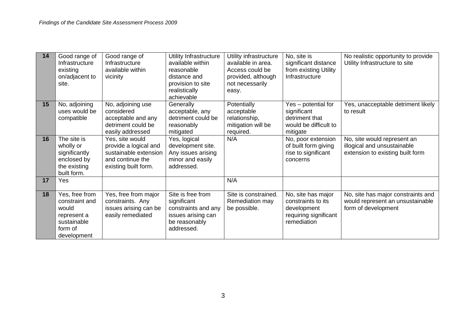| 14 | Good range of<br>Infrastructure<br>existing<br>on/adjacent to<br>site.                            | Good range of<br>Infrastructure<br>available within<br>vicinity                                               | Utility Infrastructure<br>available within<br>reasonable<br>distance and<br>provision to site<br>realistically<br>achievable | Utility infrastructure<br>available in area.<br>Access could be<br>provided, although<br>not necessarily<br>easy. | No, site is<br>significant distance<br>from existing Utility<br>Infrastructure                  | No realistic opportunity to provide<br>Utility Infrastructure to site                          |
|----|---------------------------------------------------------------------------------------------------|---------------------------------------------------------------------------------------------------------------|------------------------------------------------------------------------------------------------------------------------------|-------------------------------------------------------------------------------------------------------------------|-------------------------------------------------------------------------------------------------|------------------------------------------------------------------------------------------------|
| 15 | No, adjoining<br>uses would be<br>compatible                                                      | No, adjoining use<br>considered<br>acceptable and any<br>detriment could be<br>easily addressed               | Generally<br>acceptable, any<br>detriment could be<br>reasonably<br>mitigated                                                | Potentially<br>acceptable<br>relationship,<br>mitigation will be<br>required.                                     | Yes - potential for<br>significant<br>detriment that<br>would be difficult to<br>mitigate       | Yes, unacceptable detriment likely<br>to result                                                |
| 16 | The site is<br>wholly or<br>significantly<br>enclosed by<br>the existing<br>built form.           | Yes, site would<br>provide a logical and<br>sustainable extension<br>and continue the<br>existing built form. | Yes, logical<br>development site.<br>Any issues arising<br>minor and easily<br>addressed.                                    | N/A                                                                                                               | No, poor extension<br>of built form giving<br>rise to significant<br>concerns                   | No, site would represent an<br>illogical and unsustainable<br>extension to existing built form |
| 17 | Yes                                                                                               |                                                                                                               |                                                                                                                              | N/A                                                                                                               |                                                                                                 |                                                                                                |
| 18 | Yes, free from<br>constraint and<br>would<br>represent a<br>sustainable<br>form of<br>development | Yes, free from major<br>constraints. Any<br>issues arising can be<br>easily remediated                        | Site is free from<br>significant<br>constraints and any<br>issues arising can<br>be reasonably<br>addressed.                 | Site is constrained.<br>Remediation may<br>be possible.                                                           | No, site has major<br>constraints to its<br>development<br>requiring significant<br>remediation | No, site has major constraints and<br>would represent an unsustainable<br>form of development  |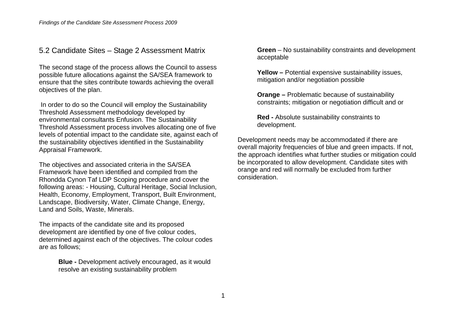## 5.2 Candidate Sites – Stage 2 Assessment Matrix

The second stage of the process allows the Council to assess possible future allocations against the SA/SEA framework to ensure that the sites contribute towards achieving the overall objectives of the plan.

 In order to do so the Council will employ the Sustainability Threshold Assessment methodology developed by environmental consultants Enfusion. The Sustainability Threshold Assessment process involves allocating one of five levels of potential impact to the candidate site, against each of the sustainability objectives identified in the Sustainability Appraisal Framework.

The objectives and associated criteria in the SA/SEA Framework have been identified and compiled from the Rhondda Cynon Taf LDP Scoping procedure and cover the following areas: - Housing, Cultural Heritage, Social Inclusion, Health, Economy, Employment, Transport, Built Environment, Landscape, Biodiversity, Water, Climate Change, Energy, Land and Soils, Waste, Minerals.

The impacts of the candidate site and its proposed development are identified by one of five colour codes, determined against each of the objectives. The colour codes are as follows;

> **Blue -** Development actively encouraged, as it would resolve an existing sustainability problem

**Green** – No sustainability constraints and development acceptable

**Yellow –** Potential expensive sustainability issues, mitigation and/or negotiation possible

**Orange –** Problematic because of sustainability constraints; mitigation or negotiation difficult and or

**Red -** Absolute sustainability constraints to development.

Development needs may be accommodated if there are overall majority frequencies of blue and green impacts. If not, the approach identifies what further studies or mitigation could be incorporated to allow development. Candidate sites with orange and red will normally be excluded from further consideration.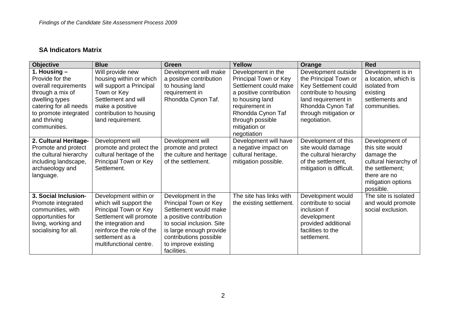## **SA Indicators Matrix**

| <b>Objective</b>       | <b>Blue</b>               | <b>Green</b>              | Yellow                   | Orange                      | <b>Red</b>                      |
|------------------------|---------------------------|---------------------------|--------------------------|-----------------------------|---------------------------------|
| 1. Housing $-$         | Will provide new          | Development will make     | Development in the       | Development outside         | Development is in               |
| Provide for the        | housing within or which   | a positive contribution   | Principal Town or Key    | the Principal Town or       | a location, which is            |
| overall requirements   | will support a Principal  | to housing land           | Settlement could make    | <b>Key Settlement could</b> | isolated from                   |
| through a mix of       | Town or Key               | requirement in            | a positive contribution  | contribute to housing       | existing                        |
| dwelling types         | Settlement and will       | Rhondda Cynon Taf.        | to housing land          | land requirement in         | settlements and                 |
| catering for all needs | make a positive           |                           | requirement in           | Rhondda Cynon Taf           | communities.                    |
| to promote integrated  | contribution to housing   |                           | Rhondda Cynon Taf        | through mitigation or       |                                 |
| and thriving           | land requirement.         |                           | through possible         | negotiation.                |                                 |
| communities.           |                           |                           | mitigation or            |                             |                                 |
|                        |                           |                           | negotiation              |                             |                                 |
| 2. Cultural Heritage-  | Development will          | Development will          | Development will have    | Development of this         | Development of                  |
| Promote and protect    | promote and protect the   | promote and protect       | a negative impact on     | site would damage           | this site would                 |
| the cultural hierarchy | cultural heritage of the  | the culture and heritage  | cultural heritage,       | the cultural hierarchy      | damage the                      |
| including landscape,   | Principal Town or Key     | of the settlement.        | mitigation possible.     | of the settlement,          | cultural hierarchy of           |
| archaeology and        | Settlement.               |                           |                          | mitigation is difficult.    | the settlement;                 |
| language.              |                           |                           |                          |                             | there are no                    |
|                        |                           |                           |                          |                             | mitigation options<br>possible. |
| 3. Social Inclusion-   | Development within or     | Development in the        | The site has links with  | Development would           | The site is isolated            |
| Promote integrated     | which will support the    | Principal Town or Key     | the existing settlement. | contribute to social        | and would promote               |
| communities, with      | Principal Town or Key     | Settlement would make     |                          | inclusion if                | social exclusion.               |
| opportunities for      | Settlement will promote   | a positive contribution   |                          | development                 |                                 |
| living, working and    | the integration and       | to social inclusion. Site |                          | provided additional         |                                 |
| socialising for all.   | reinforce the role of the | is large enough provide   |                          | facilities to the           |                                 |
|                        | settlement as a           | contributions possible    |                          | settlement.                 |                                 |
|                        | multifunctional centre.   | to improve existing       |                          |                             |                                 |
|                        |                           | facilities.               |                          |                             |                                 |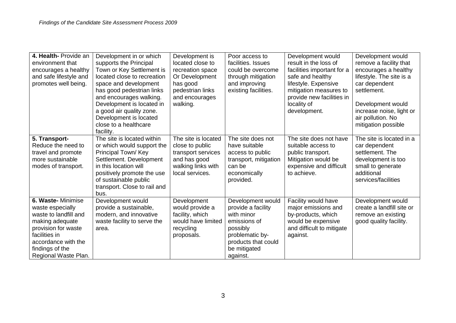| 4. Health-Provide an   | Development in or which      | Development is      | Poor access to        | Development would          | Development would         |
|------------------------|------------------------------|---------------------|-----------------------|----------------------------|---------------------------|
| environment that       | supports the Principal       | located close to    | facilities. Issues    | result in the loss of      | remove a facility that    |
| encourages a healthy   | Town or Key Settlement is    | recreation space    | could be overcome     | facilities important for a | encourages a healthy      |
| and safe lifestyle and | located close to recreation  | Or Development      | through mitigation    | safe and healthy           | lifestyle. The site is a  |
| promotes well being.   | space and development        | has good            | and improving         | lifestyle. Expensive       | car dependent             |
|                        | has good pedestrian links    | pedestrian links    | existing facilities.  | mitigation measures to     | settlement.               |
|                        | and encourages walking.      | and encourages      |                       | provide new facilities in  |                           |
|                        | Development is located in    | walking.            |                       | locality of                | Development would         |
|                        | a good air quality zone.     |                     |                       | development.               | increase noise, light or  |
|                        | Development is located       |                     |                       |                            | air pollution. No         |
|                        | close to a healthcare        |                     |                       |                            | mitigation possible       |
|                        | facility.                    |                     |                       |                            |                           |
| 5. Transport-          | The site is located within   | The site is located | The site does not     | The site does not have     | The site is located in a  |
| Reduce the need to     | or which would support the   | close to public     | have suitable         | suitable access to         | car dependent             |
| travel and promote     | Principal Town/Key           | transport services  | access to public      | public transport.          | settlement. The           |
| more sustainable       | Settlement. Development      | and has good        | transport, mitigation | Mitigation would be        | development is too        |
| modes of transport.    | in this location will        | walking links with  | can be                | expensive and difficult    | small to generate         |
|                        | positively promote the use   | local services.     | economically          | to achieve.                | additional                |
|                        | of sustainable public        |                     | provided.             |                            | services/facilities       |
|                        | transport. Close to rail and |                     |                       |                            |                           |
|                        | bus.                         |                     |                       |                            |                           |
| 6. Waste- Minimise     | Development would            | Development         | Development would     | Facility would have        | Development would         |
| waste especially       | provide a sustainable,       | would provide a     | provide a facility    | major emissions and        | create a landfill site or |
| waste to landfill and  | modern, and innovative       | facility, which     | with minor            | by-products, which         | remove an existing        |
| making adequate        | waste facility to serve the  | would have limited  | emissions of          | would be expensive         | good quality facility.    |
| provision for waste    | area.                        | recycling           | possibly              | and difficult to mitigate  |                           |
| facilities in          |                              | proposals.          | problematic by-       | against.                   |                           |
| accordance with the    |                              |                     | products that could   |                            |                           |
| findings of the        |                              |                     | be mitigated          |                            |                           |
| Regional Waste Plan.   |                              |                     | against.              |                            |                           |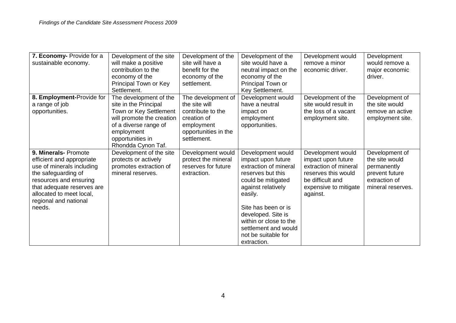| 7. Economy- Provide for a  | Development of the site   | Development of the   | Development of the     | Development would     | Development       |
|----------------------------|---------------------------|----------------------|------------------------|-----------------------|-------------------|
| sustainable economy.       | will make a positive      | site will have a     | site would have a      | remove a minor        | would remove a    |
|                            | contribution to the       | benefit for the      | neutral impact on the  | economic driver.      | major economic    |
|                            | economy of the            | economy of the       | economy of the         |                       | driver.           |
|                            | Principal Town or Key     | settlement.          | Principal Town or      |                       |                   |
|                            | Settlement.               |                      | Key Settlement.        |                       |                   |
| 8. Employment-Provide for  | The development of the    | The development of   | Development would      | Development of the    | Development of    |
| a range of job             | site in the Principal     | the site will        | have a neutral         | site would result in  | the site would    |
| opportunities.             | Town or Key Settlement    | contribute to the    | impact on              | the loss of a vacant  | remove an active  |
|                            | will promote the creation | creation of          | employment             | employment site.      | employment site.  |
|                            | of a diverse range of     | employment           | opportunities.         |                       |                   |
|                            | employment                | opportunities in the |                        |                       |                   |
|                            | opportunities in          | settlement.          |                        |                       |                   |
|                            | Rhondda Cynon Taf.        |                      |                        |                       |                   |
| 9. Minerals- Promote       | Development of the site   | Development would    | Development would      | Development would     | Development of    |
| efficient and appropriate  | protects or actively      | protect the mineral  | impact upon future     | impact upon future    | the site would    |
| use of minerals including  | promotes extraction of    | reserves for future  | extraction of mineral  | extraction of mineral | permanently       |
| the safeguarding of        | mineral reserves.         | extraction.          | reserves but this      | reserves this would   | prevent future    |
| resources and ensuring     |                           |                      | could be mitigated     | be difficult and      | extraction of     |
| that adequate reserves are |                           |                      | against relatively     | expensive to mitigate | mineral reserves. |
| allocated to meet local,   |                           |                      | easily.                | against.              |                   |
| regional and national      |                           |                      |                        |                       |                   |
| needs.                     |                           |                      | Site has been or is    |                       |                   |
|                            |                           |                      | developed. Site is     |                       |                   |
|                            |                           |                      | within or close to the |                       |                   |
|                            |                           |                      | settlement and would   |                       |                   |
|                            |                           |                      | not be suitable for    |                       |                   |
|                            |                           |                      | extraction.            |                       |                   |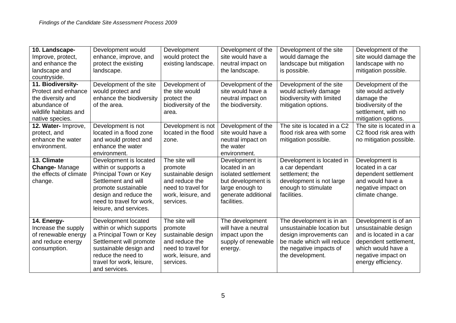| 10. Landscape-<br>Improve, protect,<br>and enhance the<br>landscape and<br>countryside.                                   | Development would<br>enhance, improve, and<br>protect the existing<br>landscape.                                                                                                                     | Development<br>would protect the<br>existing landscape.                                                                   | Development of the<br>site would have a<br>neutral impact on<br>the landscape.                                                        | Development of the site<br>would damage the<br>landscape but mitigation<br>is possible.                                                                       | Development of the<br>site would damage the<br>landscape with no<br>mitigation possible.                                                                           |
|---------------------------------------------------------------------------------------------------------------------------|------------------------------------------------------------------------------------------------------------------------------------------------------------------------------------------------------|---------------------------------------------------------------------------------------------------------------------------|---------------------------------------------------------------------------------------------------------------------------------------|---------------------------------------------------------------------------------------------------------------------------------------------------------------|--------------------------------------------------------------------------------------------------------------------------------------------------------------------|
| 11. Biodiversity-<br>Protect and enhance<br>the diversity and<br>abundance of<br>wildlife habitats and<br>native species. | Development of the site<br>would protect and<br>enhance the biodiversity<br>of the area.                                                                                                             | Development of<br>the site would<br>protect the<br>biodiversity of the<br>area.                                           | Development of the<br>site would have a<br>neutral impact on<br>the biodiversity.                                                     | Development of the site<br>would actively damage<br>biodiversity with limited<br>mitigation options.                                                          | Development of the<br>site would actively<br>damage the<br>biodiversity of the<br>settlement, with no<br>mitigation options.                                       |
| 12. Water- Improve,<br>protect, and<br>enhance the water<br>environment.                                                  | Development is not<br>located in a flood zone<br>and would protect and<br>enhance the water<br>environment.                                                                                          | Development is not<br>located in the flood<br>zone.                                                                       | Development of the<br>site would have a<br>neutral impact on<br>the water<br>environment.                                             | The site is located in a C2<br>flood risk area with some<br>mitigation possible.                                                                              | The site is located in a<br>C2 flood risk area with<br>no mitigation possible.                                                                                     |
| 13. Climate<br><b>Change-Manage</b><br>the effects of climate<br>change.                                                  | Development is located<br>within or supports a<br>Principal Town or Key<br>Settlement and will<br>promote sustainable<br>design and reduce the<br>need to travel for work,<br>leisure, and services. | The site will<br>promote<br>sustainable design<br>and reduce the<br>need to travel for<br>work, leisure, and<br>services. | Development is<br>located in an<br>isolated settlement<br>but development is<br>large enough to<br>generate additional<br>facilities. | Development is located in<br>a car dependant<br>settlement; the<br>development is not large<br>enough to stimulate<br>facilities.                             | Development is<br>located in a car<br>dependent settlement<br>and would have a<br>negative impact on<br>climate change.                                            |
| 14. Energy-<br>Increase the supply<br>of renewable energy<br>and reduce energy<br>consumption.                            | Development located<br>within or which supports<br>a Principal Town or Key<br>Settlement will promote<br>sustainable design and<br>reduce the need to<br>travel for work, leisure,<br>and services.  | The site will<br>promote<br>sustainable design<br>and reduce the<br>need to travel for<br>work, leisure, and<br>services. | The development<br>will have a neutral<br>impact upon the<br>supply of renewable<br>energy.                                           | The development is in an<br>unsustainable location but<br>design improvements can<br>be made which will reduce<br>the negative impacts of<br>the development. | Development is of an<br>unsustainable design<br>and is located in a car<br>dependent settlement,<br>which would have a<br>negative impact on<br>energy efficiency. |